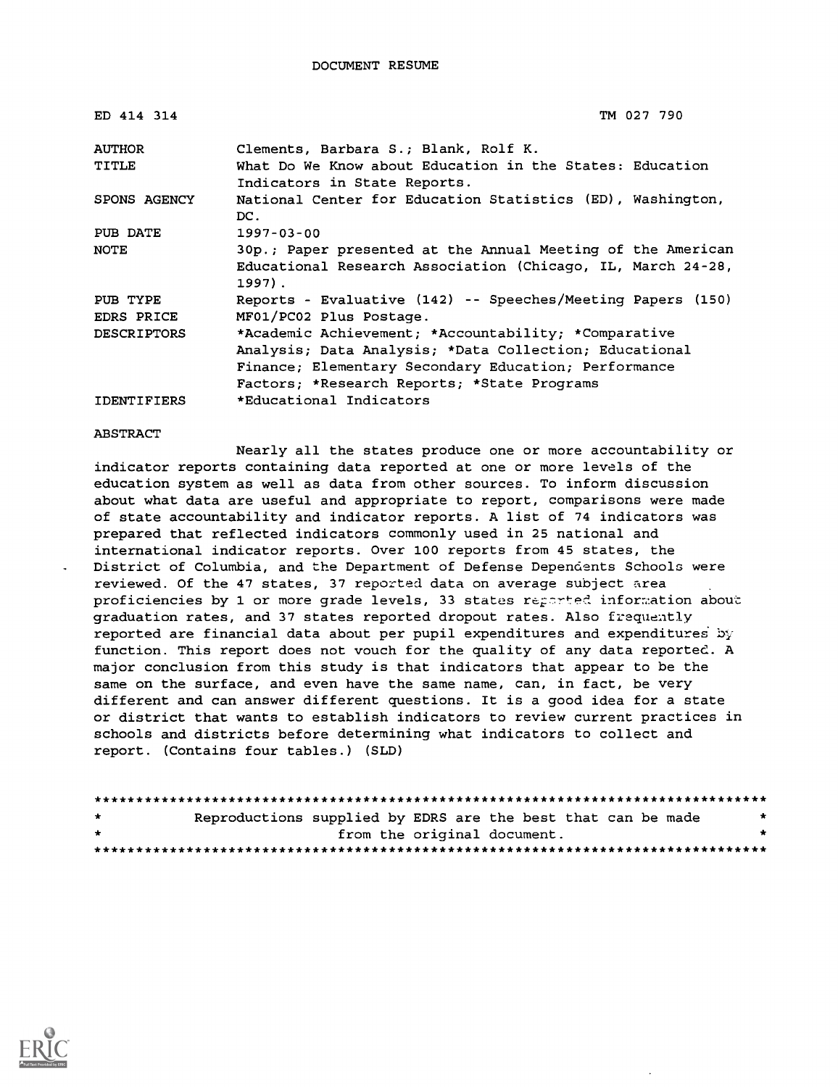| ED 414 314         | TM 027 790                                                                               |
|--------------------|------------------------------------------------------------------------------------------|
| <b>AUTHOR</b>      | Clements, Barbara S.; Blank, Rolf K.                                                     |
| TITLE              | What Do We Know about Education in the States: Education<br>Indicators in State Reports. |
| SPONS AGENCY       | National Center for Education Statistics (ED), Washington,<br>DC.                        |
| PUB DATE           | $1997 - 03 - 00$                                                                         |
| <b>NOTE</b>        | 30p.; Paper presented at the Annual Meeting of the American                              |
|                    | Educational Research Association (Chicago, IL, March 24-28,<br>$1997$ .                  |
| PUB TYPE           | Reports - Evaluative (142) -- Speeches/Meeting Papers (150)                              |
| EDRS PRICE         | MF01/PC02 Plus Postage.                                                                  |
| <b>DESCRIPTORS</b> | *Academic Achievement; *Accountability; *Comparative                                     |
|                    | Analysis; Data Analysis; *Data Collection; Educational                                   |
|                    | Finance; Elementary Secondary Education; Performance                                     |
|                    | Factors; *Research Reports; *State Programs                                              |
| <b>IDENTIFIERS</b> | *Educational Indicators                                                                  |

ABSTRACT

Nearly all the states produce one or more accountability or indicator reports containing data reported at one or more levels of the education system as well as data from other sources. To inform discussion about what data are useful and appropriate to report, comparisons were made of state accountability and indicator reports. A list of 74 indicators was prepared that reflected indicators commonly used in 25 national and international indicator reports. Over 100 reports from 45 states, the District of Columbia, and the Department of Defense Dependents Schools were reviewed. Of the 47 states, 37 reported data on average subject area proficiencies by 1 or more grade levels, 33 states reported information about graduation rates, and 37 states reported dropout rates. Also frequently reported are financial data about per pupil expenditures and expenditures by function. This report does not vouch for the quality of any data reported. A major conclusion from this study is that indicators that appear to be the same on the surface, and even have the same name, can, in fact, be very different and can answer different questions. It is a good idea for a state or district that wants to establish indicators to review current practices in schools and districts before determining what indicators to collect and report. (Contains four tables.) (SLD)

| $\mathbf{r}$ | Reproductions supplied by EDRS are the best that can be made |                             |  |  |  |
|--------------|--------------------------------------------------------------|-----------------------------|--|--|--|
| $\star$      |                                                              | from the original document. |  |  |  |
|              |                                                              |                             |  |  |  |

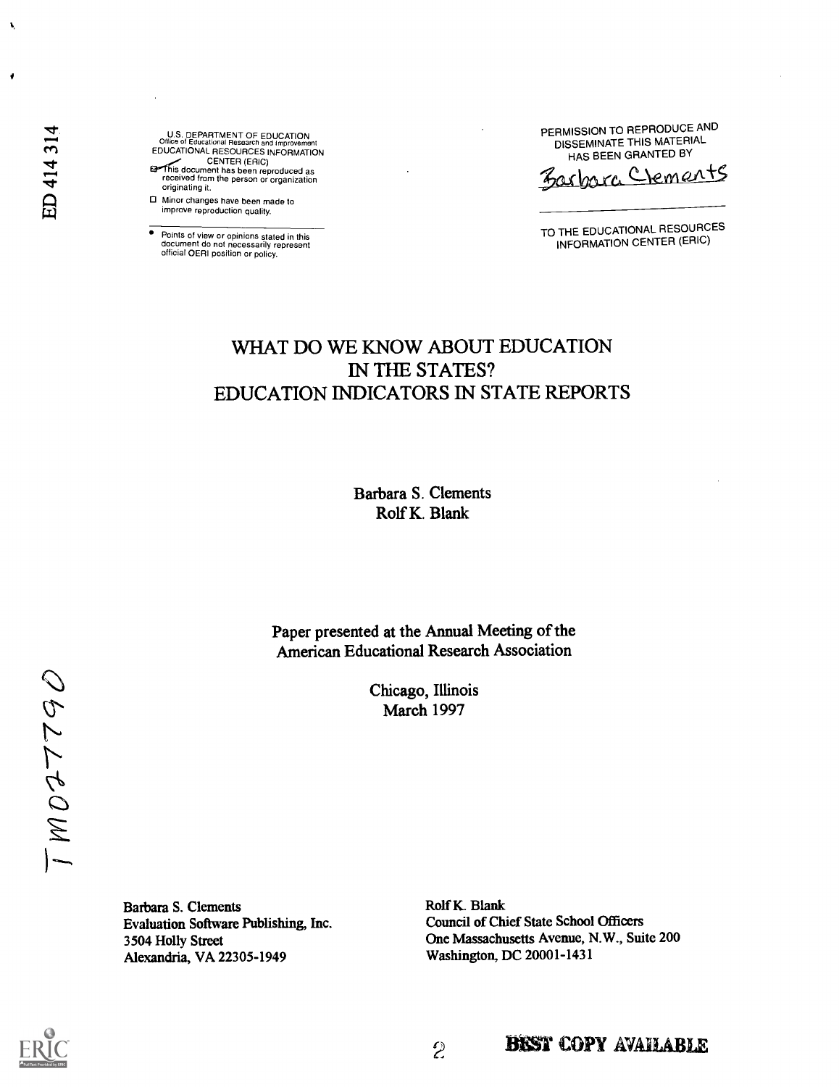U.S. DEPARTMENT OF EDUCATION Office of Educational Research and Improvement EDUCATIONAL RESOURCES INFORMATION CENTER (ERIC)<br>This document has been reproduced as<br>received from the person or organization originating it.

Minor changes have been made to improve reproduction quality.

Points of view or opinions stated in this document do not necessarily represent official OERI position or policy.

PERMISSION TO REPRODUCE AND DISSEMINATE THIS MATERIAL HAS BEEN GRANTED BY

mra Clements

TO THE EDUCATIONAL RESOURCES INFORMATION CENTER (ERIC)

# WHAT DO WE KNOW ABOUT EDUCATION IN THE STATES? EDUCATION INDICATORS IN STATE REPORTS

Barbara S. Clements Rolf K. Blank

Paper presented at the Annual Meeting of the American Educational Research Association

> Chicago, Illinois March 1997

OBLLCOM1

Barbara S. Clements Evaluation Software Publishing, Inc. 3504 Holly Street Alexandria, VA 22305-1949

Rolf K. Blank Council of Chief State School Officers One Massachusetts Avenue, N.W., Suite 200 Washington, DC 20001-1431

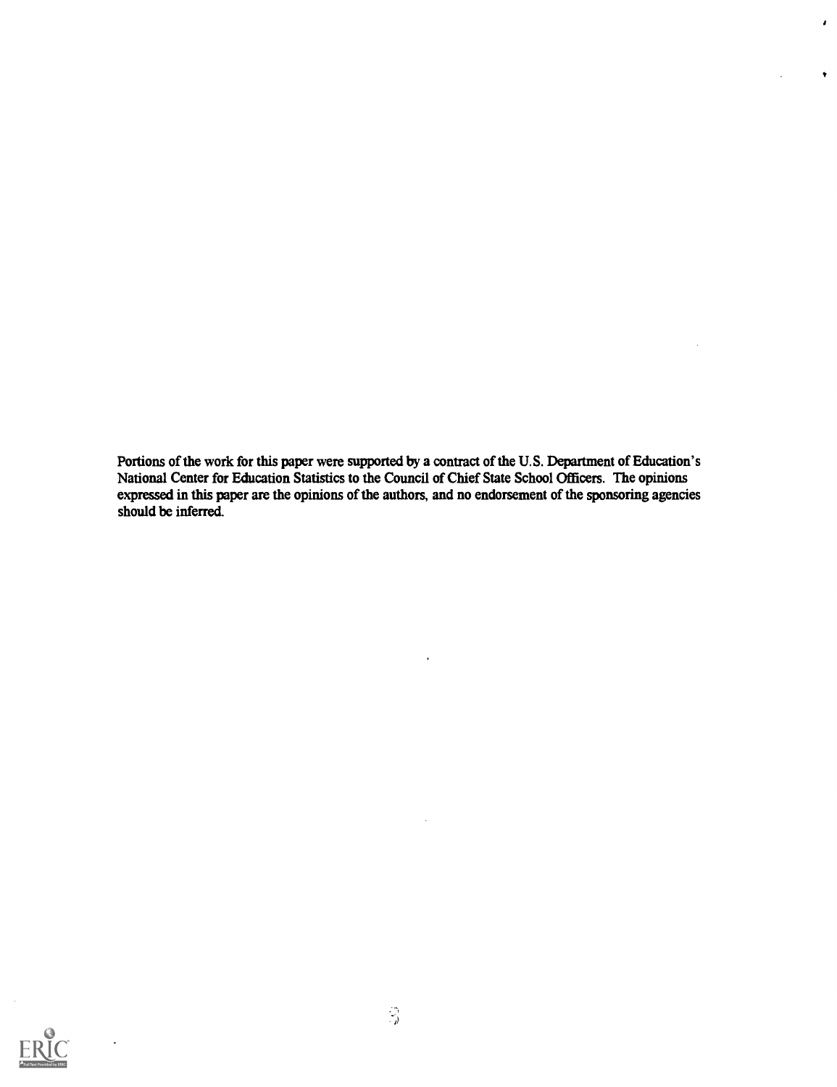Portions of the work for this paper were supported by a contract of the U.S. Department of Education's National Center for Education Statistics to the Council of Chief State School Officers. The opinions expressed in this paper are the opinions of the authors, and no endorsement of the sponsoring agencies should be inferred.

 $\ddot{\phantom{0}}$ 

 $\pmb{\cdot}$ 

 $\bullet$ 

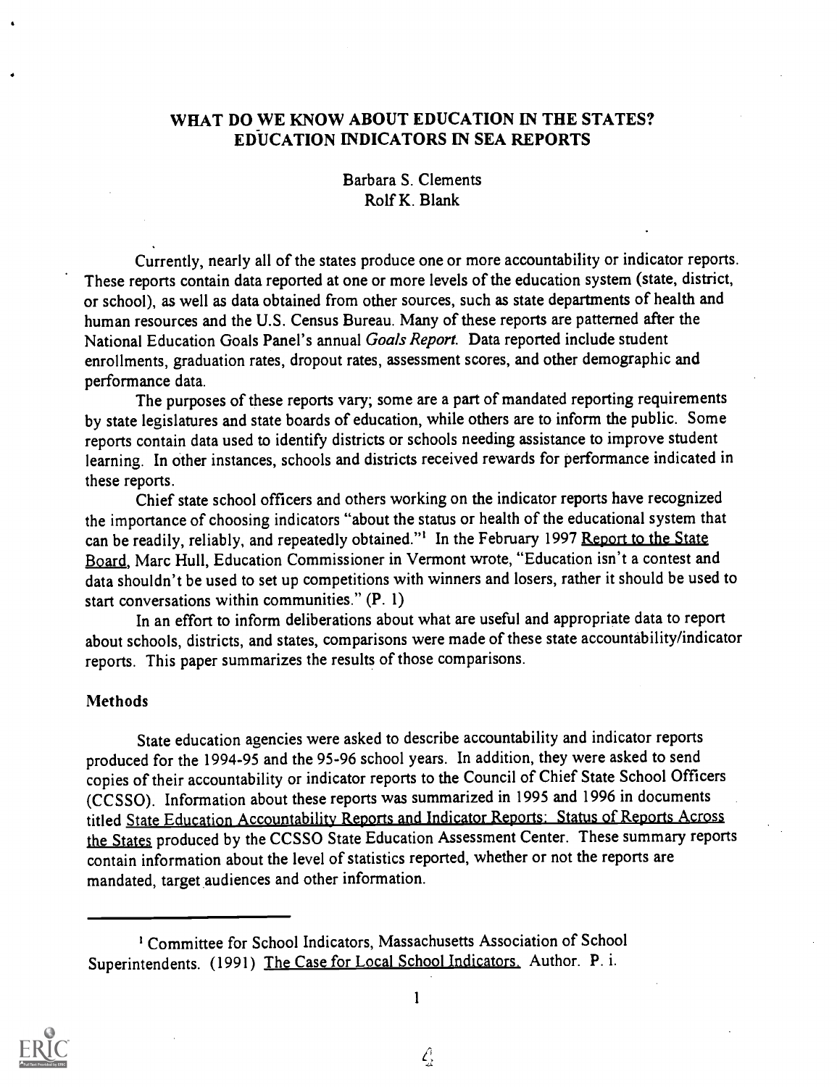### WHAT DO WE KNOW ABOUT EDUCATION IN THE STATES? EDUCATION INDICATORS IN SEA REPORTS

#### Barbara S. Clements Rolf K. Blank

Currently, nearly all of the states produce one or more accountability or indicator reports. These reports contain data reported at one or more levels of the education system (state, district, or school), as well as data obtained from other sources, such as state departments of health and human resources and the U.S. Census Bureau. Many of these reports are patterned after the National Education Goals Panel's annual Goals Report. Data reported include student enrollments, graduation rates, dropout rates, assessment scores, and other demographic and performance data.

The purposes of these reports vary; some are a part of mandated reporting requirements by state legislatures and state boards of education, while others are to inform the public. Some reports contain data used to identify districts or schools needing assistance to improve student learning. In other instances, schools and districts received rewards for performance indicated in these reports.

Chief state school officers and others working on the indicator reports have recognized the importance of choosing indicators "about the status or health of the educational system that can be readily, reliably, and repeatedly obtained."<sup>1</sup> In the February 1997 <u>Report to the State</u> Board, Marc Hull, Education Commissioner in Vermont wrote, "Education isn't a contest and data shouldn't be used to set up competitions with winners and losers, rather it should be used to start conversations within communities." (P. 1)

In an effort to inform deliberations about what are useful and appropriate data to report about schools, districts, and states, comparisons were made of these state accountability/indicator reports. This paper summarizes the results of those comparisons.

#### **Methods**

State education agencies were asked to describe accountability and indicator reports produced for the 1994-95 and the 95-96 school years. In addition, they were asked to send copies of their accountability or indicator reports to the Council of Chief State School Officers (CCSSO). Information about these reports was summarized in 1995 and 1996 in documents titled State Education Accountability Reports and Indicator Reports: Status of Reports Across the Siates produced by the CCSSO State Education Assessment Center. These summary reports contain information about the level of statistics reported, whether or not the reports are mandated, target audiences and other information.



1

<sup>&#</sup>x27; Committee for School Indicators, Massachusetts Association of School Superintendents. (1991) The Case for Local School Indicators. Author. P. i.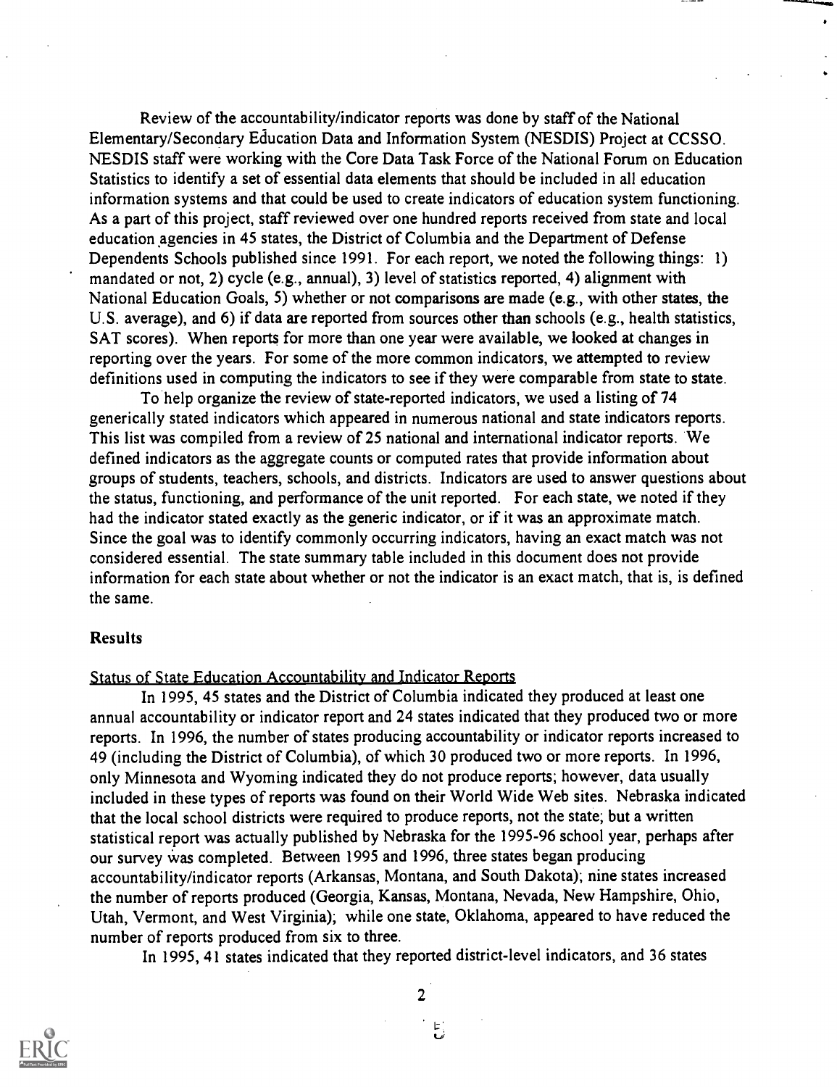Review of the accountability/indicator reports was done by staff of the National Elementary/Secondary Education Data and Information System (NESDIS) Project at CCSSO. NESDIS staff were working with the Core Data Task Force of the National Forum on Education Statistics to identify a set of essential data elements that should be included in all education information systems and that could be used to create indicators of education system functioning. As a part of this project, staff reviewed over one hundred reports received from state and local education agencies in 45 states, the District of Columbia and the Department of Defense Dependents Schools published since 1991. For each report, we noted the following things: 1) mandated or not, 2) cycle (e.g., annual), 3) level of statistics reported, 4) alignment with National Education Goals, 5) whether or not comparisons are made (e.g., with other states, the U.S. average), and 6) if data are reported from sources other than schools (e.g., health statistics, SAT scores). When reports for more than one year were available, we looked at changes in reporting over the years. For some of the more common indicators, we attempted to review definitions used in computing the indicators to see if they were comparable from state to state.

To help organize the review of state-reported indicators, we used a listing of 74 generically stated indicators which appeared in numerous national and state indicators reports. This list was compiled from a review of 25 national and international indicator reports. We defined indicators as the aggregate counts or computed rates that provide information about groups of students, teachers, schools, and districts. Indicators are used to answer questions about the status, functioning, and performance of the unit reported. For each state, we noted if they had the indicator stated exactly as the generic indicator, or if it was an approximate match. Since the goal was to identify commonly occurring indicators, having an exact match was not considered essential. The state summary table included in this document does not provide information for each state about whether or not the indicator is an exact match, that is, is defined the same.

#### **Results**

Status of State Education Accountability and Indicator Reports

In 1995, 45 states and the District of Columbia indicated they produced at least one annual accountability or indicator report and 24 states indicated that they produced two or more reports. In 1996, the number of states producing accountability or indicator reports increased to 49 (including the District of Columbia), of which 30 produced two or more reports. In 1996, only Minnesota and Wyoming indicated they do not produce reports; however, data usually included in these types of reports was found on their World Wide Web sites. Nebraska indicated that the local school districts were required to produce reports, not the state; but a written statistical report was actually published by Nebraska for the 1995-96 school year, perhaps after our survey was completed. Between 1995 and 1996, three states began producing accountability/indicator reports (Arkansas, Montana, and South Dakota); nine states increased the number of reports produced (Georgia, Kansas, Montana, Nevada, New Hampshire, Ohio, Utah, Vermont, and West Virginia); while one state, Oklahoma, appeared to have reduced the number of reports produced from six to three.

In 1995, 41 states indicated that they reported district-level indicators, and 36 states



2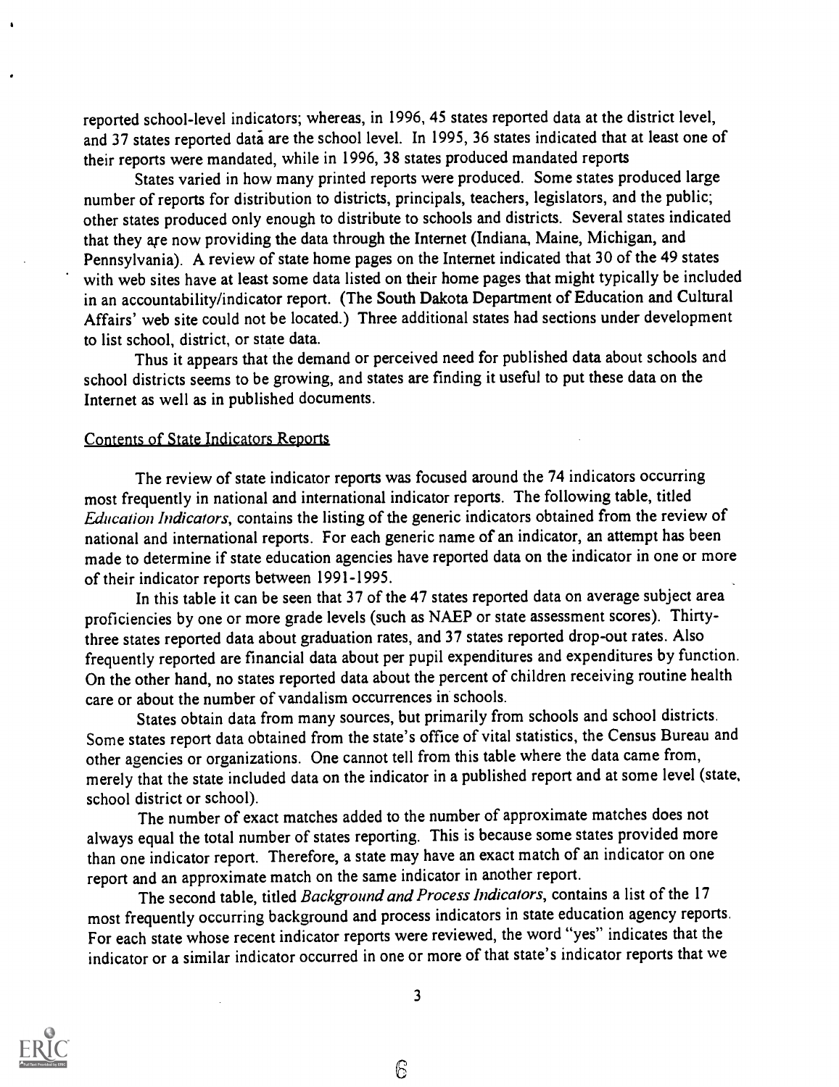reported school-level indicators; whereas, in 1996, 45 states reported data at the district level, and 37 states reported data are the school level. In 1995, 36 states indicated that at least one of their reports were mandated, while in 1996, 38 states produced mandated reports

States varied in how many printed reports were produced. Some states produced large number of reports for distribution to districts, principals, teachers, legislators, and the public; other states produced only enough to distribute to schools and districts. Several states indicated that they are now providing the data through the Internet (Indiana, Maine, Michigan, and Pennsylvania). A review of state home pages on the Internet indicated that 30 of the 49 states with web sites have at least some data listed on their home pages that might typically be included in an accountability/indicator report. (The South Dakota Department of Education and Cultural Affairs' web site could not be located.) Three additional states had sections under development to list school, district, or state data.

Thus it appears that the demand or perceived need for published data about schools and school districts seems to be growing, and states are finding it useful to put these data on the Internet as well as in published documents.

#### Contents of State Indicators Reports

The review of state indicator reports was focused around the 74 indicators occurring most frequently in national and international indicator reports. The following table, titled Education Indicators, contains the listing of the generic indicators obtained from the review of national and international reports. For each generic name of an indicator, an attempt has been made to determine if state education agencies have reported data on the indicator in one or more of their indicator reports between 1991-1995.

In this table it can be seen that 37 of the 47 states reported data on average subject area proficiencies by one or more grade levels (such as NAEP or state assessment scores). Thirtythree states reported data about graduation rates, and 37 states reported drop-out rates. Also frequently reported are financial data about per pupil expenditures and expenditures by function. On the other hand, no states reported data about the percent of children receiving routine health care or about the number of vandalism occurrences in schools.

States obtain data from many sources, but primarily from schools and school districts. Some states report data obtained from the state's office of vital statistics, the Census Bureau and other agencies or organizations. One cannot tell from this table where the data came from, merely that the state included data on the indicator in a published report and at some level (state, school district or school).

The number of exact matches added to the number of approximate matches does not always equal the total number of states reporting. This is because some states provided more than one indicator report. Therefore, a state may have an exact match of an indicator on one report and an approximate match on the same indicator in another report.

The second table, titled Background and Process Indicators, contains a list of the 17 most frequently occurring background and process indicators in state education agency reports. For each state whose recent indicator reports were reviewed, the word "yes" indicates that the indicator or a similar indicator occurred in one or more of that state's indicator reports that we



 $\mathcal{E}$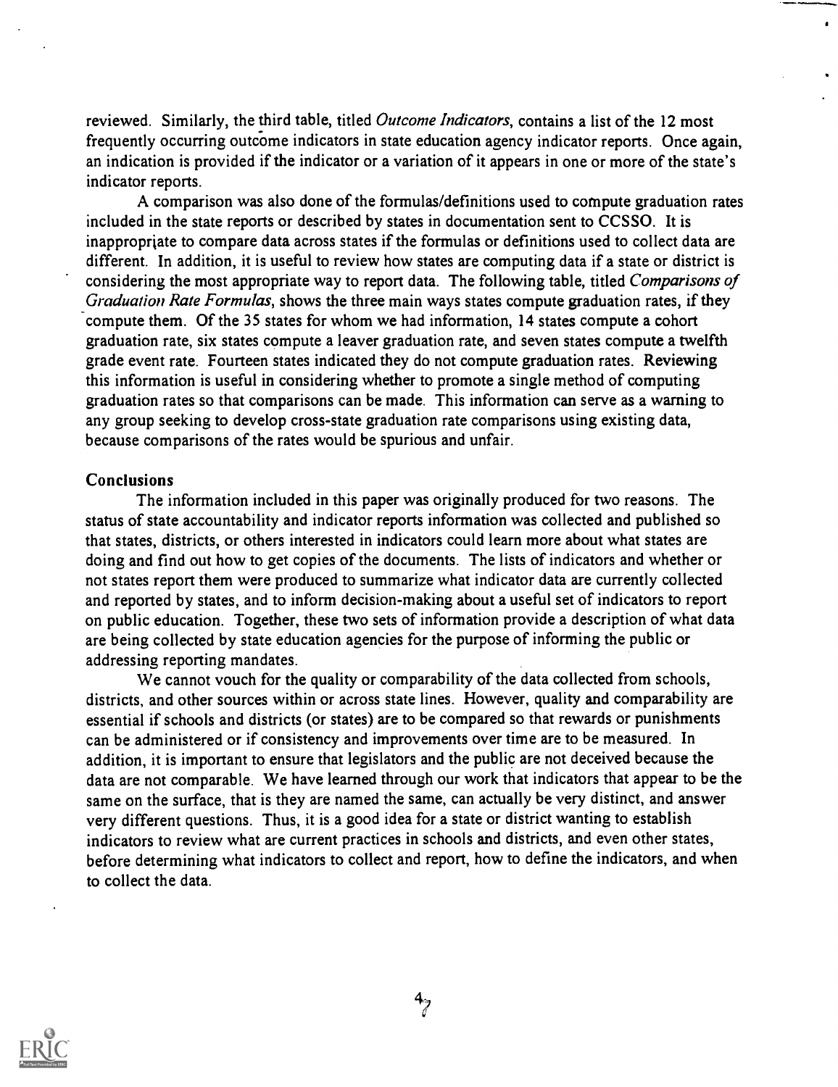reviewed. Similarly, the third table, titled *Outcome Indicators*, contains a list of the 12 most frequently occurring outcome indicators in state education agency indicator reports. Once again, an indication is provided if the indicator or a variation of it appears in one or more of the state's indicator reports.

A comparison was also done of the formulas/definitions used to compute graduation rates included in the state reports or described by states in documentation sent to CCSSO. It is inappropriate to compare data across states if the formulas or definitions used to collect data are different. In addition, it is useful to review how states are computing data if a state or district is considering the most appropriate way to report data. The following table, titled Comparisons of Graduation Rate Formulas, shows the three main ways states compute graduation rates, if they compute them. Of the 35 states for whom we had information, 14 states compute a cohort graduation rate, six states compute a leaver graduation rate, and seven states compute a twelfth grade event rate. Fourteen states indicated they do not compute graduation rates. Reviewing this information is useful in considering whether to promote a single method of computing graduation rates so that comparisons can be made. This information can serve as a warning to any group seeking to develop cross-state graduation rate comparisons using existing data, because comparisons of the rates would be spurious and unfair.

#### **Conclusions**

The information included in this paper was originally produced for two reasons. The status of state accountability and indicator reports information was collected and published so that states, districts, or others interested in indicators could learn more about what states are doing and find out how to get copies of the documents. The lists of indicators and whether or not states report them were produced to summarize what indicator data are currently collected and reported by states, and to inform decision-making about a useful set of indicators to report on public education. Together, these two sets of information provide a description of what data are being collected by state education agencies for the purpose of informing the public or addressing reporting mandates.

We cannot vouch for the quality or comparability of the data collected from schools, districts, and other sources within or across state lines. However, quality and comparability are essential if schools and districts (or states) are to be compared so that rewards or punishments can be administered or if consistency and improvements over time are to be measured. In addition, it is important to ensure that legislators and the public are not deceived because the data are not comparable. We have learned through our work that indicators that appear to be the same on the surface, that is they are named the same, can actually be very distinct, and answer very different questions. Thus, it is a good idea for a state or district wanting to establish indicators to review what are current practices in schools and districts, and even other states, before determining what indicators to collect and report, how to define the indicators, and when to collect the data.

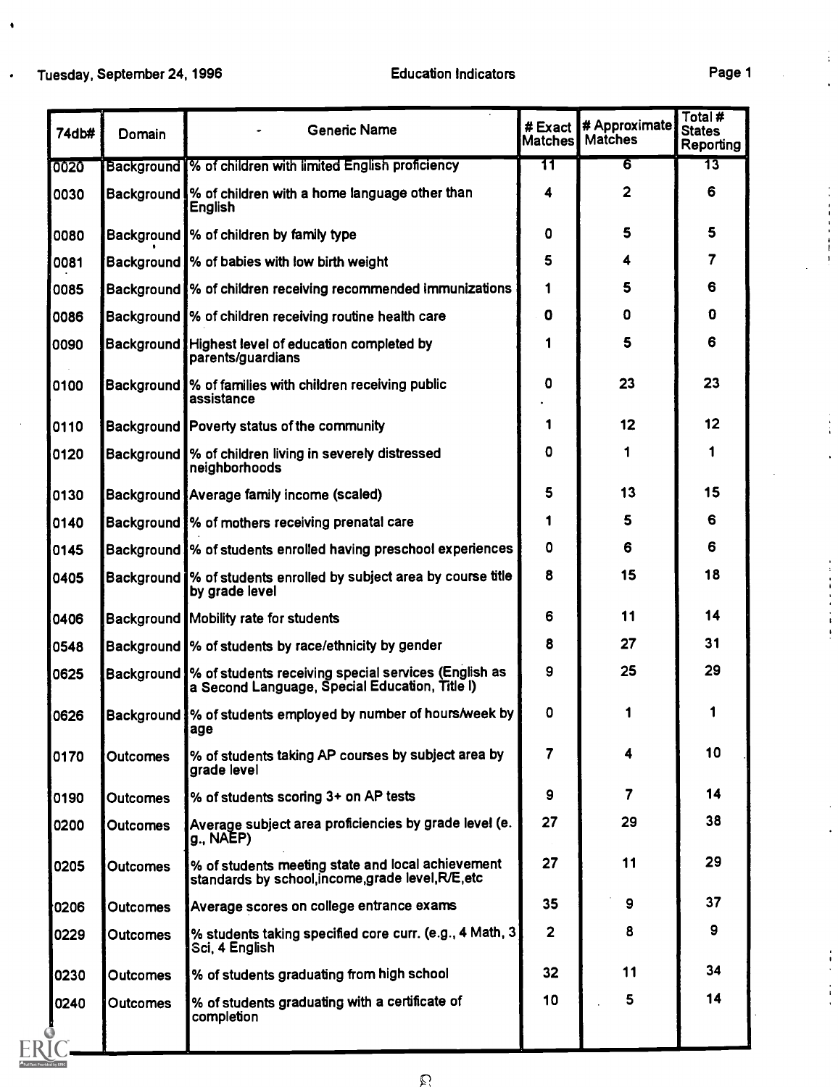$\bullet$ 

 $\bullet$ 

**By ERIC** 

 $\frac{1}{4}$ 

 $\ddot{\phantom{a}}$ 

 $\ddot{\cdot}$ 

Å

| 74db# | Domain          | <b>Generic Name</b>                                                                                            | #Exact<br><b>Matches</b> | # Approximate<br><b>Matches</b> | Total#<br><b>States</b><br>Reporting |
|-------|-----------------|----------------------------------------------------------------------------------------------------------------|--------------------------|---------------------------------|--------------------------------------|
| 0020  |                 | Background % of children with limited English proficiency                                                      | 11                       | 6                               | 13                                   |
| 0030  |                 | Background % of children with a home language other than<br><b>English</b>                                     | 4                        | $\overline{2}$                  | 6                                    |
| 0080  |                 | Background % of children by family type                                                                        | 0                        | 5                               | 5                                    |
| 0081  |                 | Background % of babies with low birth weight                                                                   | 5                        | 4                               | 7                                    |
| 0085  |                 | Background % of children receiving recommended immunizations                                                   | 1                        | 5                               | 6                                    |
| 0086  |                 | Background % of children receiving routine health care                                                         | 0                        | O                               | $\mathbf 0$                          |
| 0090  |                 | Background Highest level of education completed by<br>parents/guardians                                        | 1                        | 5                               | 6                                    |
| 0100  |                 | Background % of families with children receiving public<br>assistance                                          | 0                        | 23                              | 23                                   |
| 0110  |                 | Background Poverty status of the community                                                                     | 1                        | 12                              | 12                                   |
| 0120  |                 | Background  % of children living in severely distressed<br>neighborhoods                                       | O                        | 1                               | 1                                    |
| 0130  |                 | Background Average family income (scaled)                                                                      | 5                        | 13                              | 15                                   |
| 0140  |                 | Background W of mothers receiving prenatal care                                                                | 1                        | 5                               | 6                                    |
| 0145  |                 | Background % of students enrolled having preschool experiences                                                 | $\mathbf 0$              | 6                               | 6                                    |
| 0405  |                 | Background % of students enrolled by subject area by course title<br>by grade level                            | 8                        | 15                              | 18                                   |
| 0406  |                 | Background Mobility rate for students                                                                          | 6                        | 11                              | 14                                   |
| 0548  |                 | Background % of students by race/ethnicity by gender                                                           | 8                        | 27                              | 31                                   |
| 0625  |                 | Background % of students receiving special services (English as a Second Language, Special Education, Title I) | 9                        | 25                              | 29                                   |
| 0626  |                 | Background W of students employed by number of hours/week by<br>age                                            | $\mathbf 0$              |                                 |                                      |
| 0170  | <b>Outcomes</b> | % of students taking AP courses by subject area by<br>grade level                                              | 7                        |                                 | 10                                   |
| 0190  | <b>Outcomes</b> | % of students scoring 3+ on AP tests                                                                           | 9                        | 7                               | 14                                   |
| 0200  | <b>Outcomes</b> | Average subject area proficiencies by grade level (e.<br>g., NAEP)                                             | 27                       | 29                              | 38                                   |
| 0205  | <b>Outcomes</b> | % of students meeting state and local achievement<br>standards by school, income, grade level, R/E, etc        | 27                       | 11                              | 29                                   |
| 0206  | <b>Outcomes</b> | Average scores on college entrance exams                                                                       | 35                       | 9                               | 37                                   |
| 0229  | <b>Outcomes</b> | % students taking specified core curr. (e.g., 4 Math, 3)<br>Sci, 4 English                                     | $\overline{2}$           | 8                               | 9                                    |
| 0230  | <b>Outcomes</b> | % of students graduating from high school                                                                      | 32                       | 11                              | 34                                   |
| 0240  | <b>Outcomes</b> | % of students graduating with a certificate of<br>completion                                                   | 10                       | 5                               | 14                                   |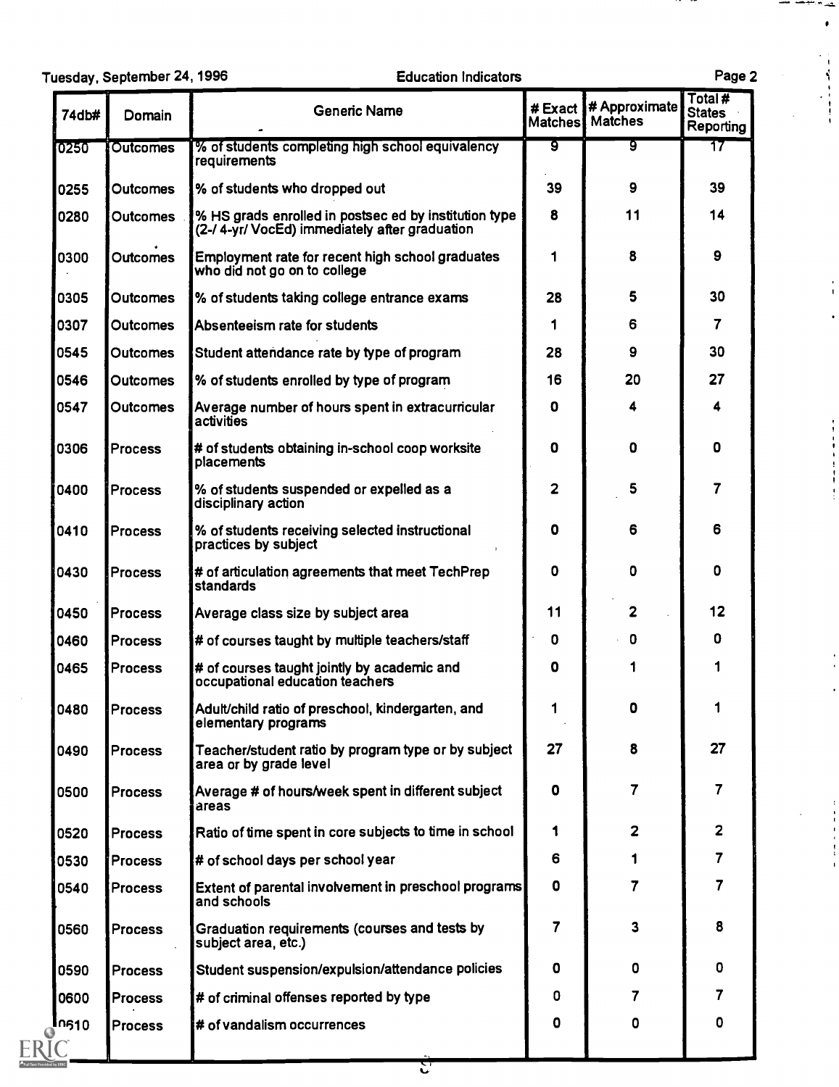|       | Tuesday, September 24, 1996 | <b>Education Indicators</b>                                                                             |                           |                                 | Page 2                                      |  |
|-------|-----------------------------|---------------------------------------------------------------------------------------------------------|---------------------------|---------------------------------|---------------------------------------------|--|
| 74db# | Domain                      | <b>Generic Name</b>                                                                                     | # Exact<br><b>Matches</b> | # Approximate<br><b>Matches</b> | Total#<br><b>States</b><br><b>Reporting</b> |  |
| 0250  | <b>Outcomes</b>             | % of students completing high school equivalency<br>requirements                                        | ९                         | ९                               | 17                                          |  |
| 0255  | Outcomes                    | % of students who dropped out                                                                           | 39                        | 9                               | 39                                          |  |
| 0280  | <b>Outcomes</b>             | % HS grads enrolled in postsec ed by institution type<br>(2-/ 4-yr/ VocEd) immediately after graduation | 8                         | 11                              | 14                                          |  |
| 0300  | <b>Outcomes</b>             | Employment rate for recent high school graduates<br>who did not go on to college                        | 1                         | 8                               | 9                                           |  |
| 0305  | Outcomes                    | % of students taking college entrance exams                                                             | 28                        | 5                               | 30                                          |  |
| 0307  | <b>Outcomes</b>             | Absenteeism rate for students                                                                           | 1                         | 6                               | 7                                           |  |
| 0545  | <b>Outcomes</b>             | Student attendance rate by type of program                                                              | 28                        | 9                               | 30                                          |  |
| 0546  | <b>Outcomes</b>             | % of students enrolled by type of program                                                               | 16                        | 20                              | 27                                          |  |
| 0547  | Outcomes                    | Average number of hours spent in extracurricular<br>activities                                          | 0                         | 4                               | 4                                           |  |
| 0306  | <b>Process</b>              | # of students obtaining in-school coop worksite<br>placements                                           | 0                         | 0                               | O                                           |  |
| 0400  | Process                     | % of students suspended or expelled as a<br>disciplinary action                                         | 2                         | 5                               | 7                                           |  |
| 0410  | <b>Process</b>              | % of students receiving selected instructional<br>practices by subject                                  | 0                         | 6                               | 6                                           |  |
| 0430  | Process                     | # of articulation agreements that meet TechPrep<br><b>standards</b>                                     | 0                         | 0                               | 0                                           |  |
| 0450  | <b>Process</b>              | Average class size by subject area                                                                      | 11                        | $\overline{\mathbf{c}}$         | 12                                          |  |
| 0460  | <b>Process</b>              | # of courses taught by multiple teachers/staff                                                          | 0                         | $\mathbf 0$                     | 0                                           |  |
| 0465  | <b>Process</b>              | # of courses taught jointly by academic and<br>occupational education teachers                          | 0                         | 1                               | 1                                           |  |
| 0480  | <b>Process</b>              | Adult/child ratio of preschool, kindergarten, and<br>elementary programs                                |                           | 0                               | 1                                           |  |
| 0490  | <b>Process</b>              | Teacher/student ratio by program type or by subject<br>area or by grade level                           | 27                        | 8                               | 27                                          |  |
| 0500  | <b>Process</b>              | Average # of hours/week spent in different subject<br>areas                                             | 0                         | 7                               | $\overline{7}$                              |  |
| 0520  | <b>Process</b>              | Ratio of time spent in core subjects to time in school                                                  | 1                         | 2                               | 2                                           |  |
| 0530  | Process                     | # of school days per school year                                                                        | 6                         | 1                               | $\overline{\mathbf{7}}$                     |  |
| 0540  | <b>Process</b>              | Extent of parental involvement in preschool programs<br>and schools                                     | 0                         | 7                               | $\overline{7}$                              |  |
| 0560  | <b>Process</b>              | Graduation requirements (courses and tests by<br>subject area, etc.)                                    | 7                         | 3                               | 8                                           |  |
| 0590  | <b>Process</b>              | Student suspension/expulsion/attendance policies                                                        | 0                         | 0                               | 0                                           |  |
| 0600  | <b>Process</b>              | # of criminal offenses reported by type                                                                 | 0                         | 7                               | 7                                           |  |
| In610 | <b>Process</b>              | # of vandalism occurrences                                                                              | ٥                         | 0                               | 0                                           |  |

÷  $\bullet$ 

रों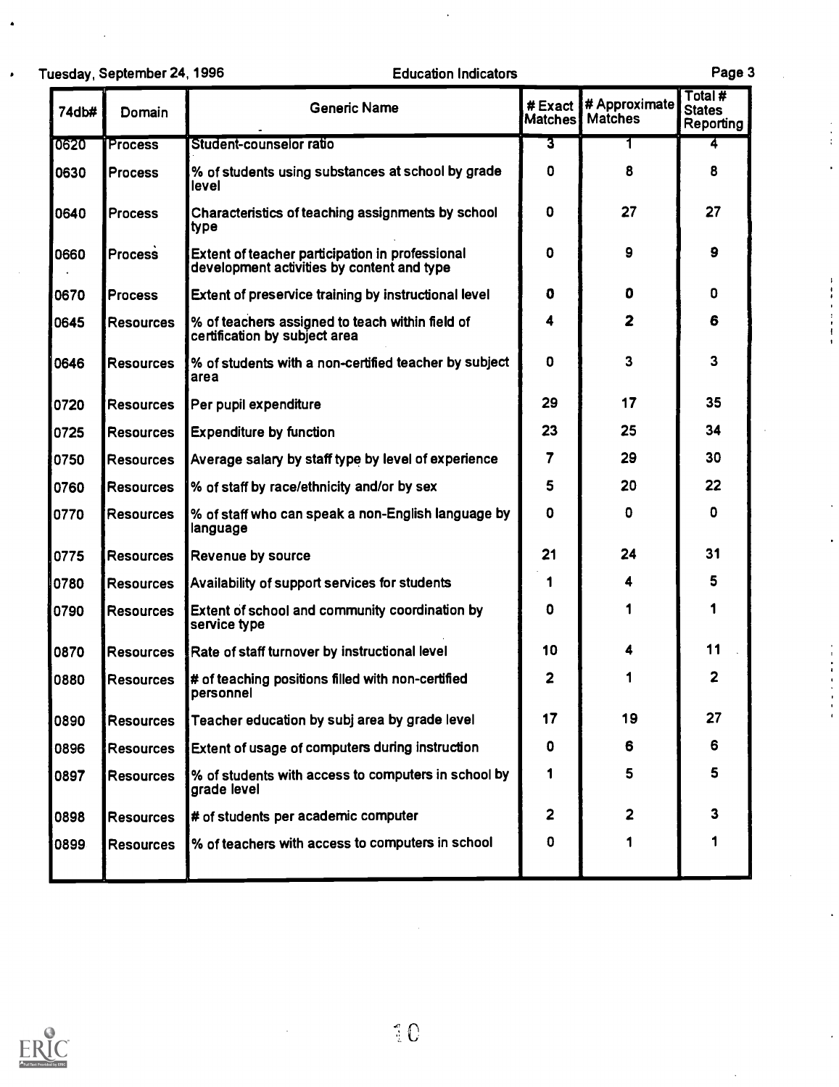Tuesday, September 24, 1996 Education Indicators Page 3 74db# Domain Ceneric Name # Exact Matches Re # Approximate Total # **States Reporting** 0620 Process Student-counselor ratio 3 <sup>1</sup> 4 0630 Process  $\sqrt{8}$  of students using substances at school by grade  $\sqrt{8}$ level 0 8 8 8 0640 Process Characteristics of teaching assignments by school type 0 27 27 27 0660 Process Extent of teacher participation in professional development activities by content and type 0 9 9 0670 Process Extent of preservice training by instructional level  $\begin{array}{cccc} 0 & 0 & 0 \\ 0 & 0 & 0 \end{array}$  0 0645 Resources % of teachers assigned to teach within field of certification by subject area 4 2 6 1 0646 Resources 1% of students with a non-certified teacher by subject area 0 3 3 3 0720 Resources Per pupil expenditure 20 129 17 17 35 0725 Resources Expenditure by function 23 23 25 34 0750 Resources Average salary by staff type by level of experience | 7 | 29 | 30 0760 Resources % of staff by race/ethnicity and/or by sex 5 20 22 0770  $\parallel$  Resources  $\parallel$ % of staff who can speak a non-English language by  $\parallel$  0 language 0 0 0 0 0775 Resources Revenue by source 21 21 24 31 0780 Resources Availability of support services for students 1 1 4 4 5 0790 Resources Extent of school and community coordination by **CO** service type 0 | 1 | 1 | 0870 Resources Rate of staff turnover by instructional level 10 | 4 | 11 0880 **Resources** # of teaching positions filled with non-certified personnel 2 | 1 | 2 | 0890 Resources Teacher education by subj area by grade level | 17 | 19 | 27 0896 Resources Extent of usage of computers during instruction 0 6 6 6 0897 Resources % of students with access to computers in school by  $\begin{bmatrix} 1 & 5 \end{bmatrix}$  5  $\begin{bmatrix} 5 & 5 \end{bmatrix}$ 0898 Resources # of students per academic computer <br>
and the students per academic computer<br>
and the students and the students per academic computer<br>
and the students of the students per academic computer 0899 Resources S of teachers with access to computers in school  $\begin{bmatrix} 0 & 1 \\ 1 & 1 \end{bmatrix}$  1

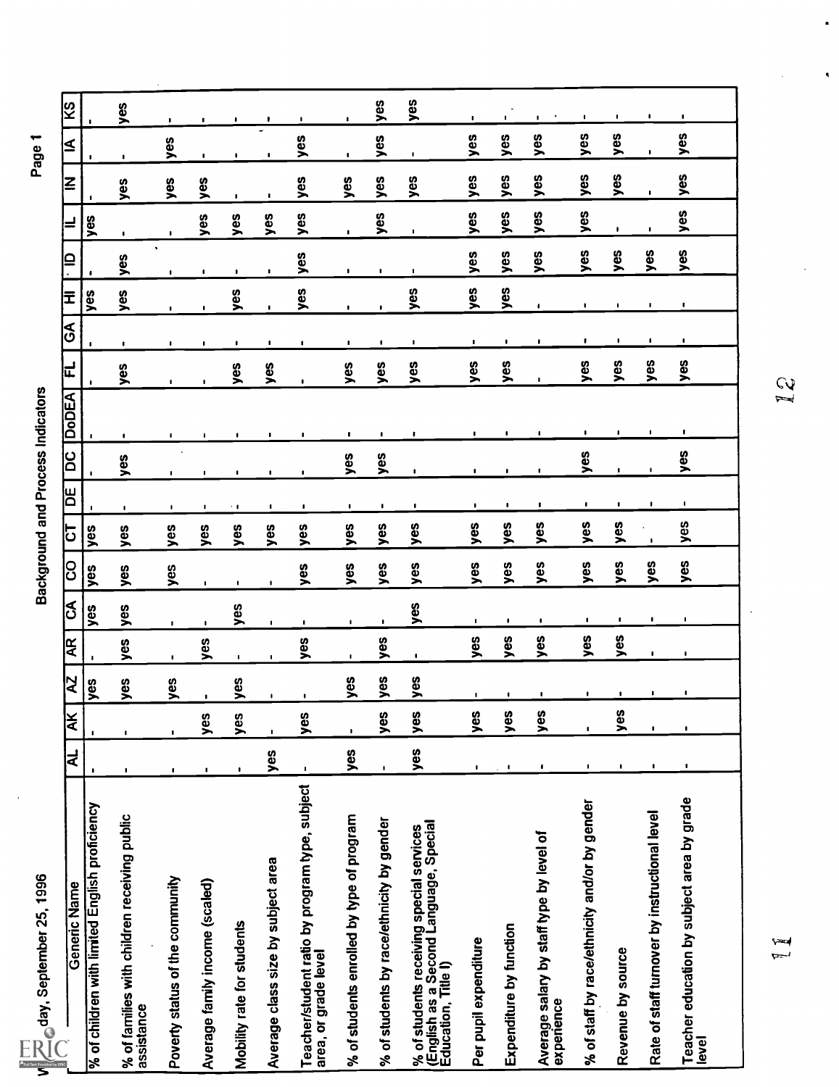| Muday, September 25, 1996                                                                                 |                         |                    |                |                |                |                |     |                |                | Background and Process Indicators |                |                |                |                |                |                | Page           |                |
|-----------------------------------------------------------------------------------------------------------|-------------------------|--------------------|----------------|----------------|----------------|----------------|-----|----------------|----------------|-----------------------------------|----------------|----------------|----------------|----------------|----------------|----------------|----------------|----------------|
| Generic Name                                                                                              | $\overline{\mathbf{z}}$ | ¥                  | R              | ļξ             | న              | ပြ             | 5   | 尚              | <u>ခြ</u>      | <b>DoDEA</b>                      | 는              | ।<br>।<br>।    | 군              |                |                | ΙZ             | Ā              | ଓ<br> ଧ        |
| % of children with limited English proficiency                                                            |                         |                    | yes            |                | yes            | yes            | yes |                |                |                                   |                |                | yes            |                | yes            |                |                |                |
| % of families with children receiving public<br>assistance                                                | $\blacksquare$          |                    | yes            | yes            | yes            | yes            | yes | ٠              | yes            | $\blacksquare$                    | yes            | $\blacksquare$ | yes            | yes            | $\mathbf{I}$   | yes            | $\mathbf{I}$   | yes            |
| Poverty status of the community                                                                           | ٠                       |                    | yes            | $\blacksquare$ | $\blacksquare$ | yes            | yes | $\blacksquare$ | ٠              | $\blacksquare$                    | $\blacksquare$ | ٠              |                | $\blacksquare$ |                | yes            | yes            | $\blacksquare$ |
| Average family income (scaled)                                                                            |                         | yes                |                | yes            | $\blacksquare$ | $\blacksquare$ | yes | ٠              |                | $\blacksquare$                    | $\blacksquare$ | ٠              |                | $\blacksquare$ | yes            | yes            | $\blacksquare$ | $\mathbf{I}$   |
| Mobility rate for students                                                                                | $\blacksquare$          | yes                | yes            | $\blacksquare$ | yes            | $\blacksquare$ | yes | $\sim 1$       | $\mathbf{I}$   | ٠                                 | yes            | ٠              | yes            | $\mathbf{I}$   | yes            |                | $\blacksquare$ | $\blacksquare$ |
| Average class size by subject area                                                                        | yes                     |                    | $\blacksquare$ |                | $\blacksquare$ | $\mathbf{I}$   | yes | ٠              | ٠              | $\blacksquare$                    | yes            | ٠              |                | $\mathbf{I}$   | yes            | $\bullet$      | $\mathbf{I}$   |                |
| Teacher/student ratio by program type, subject<br>area, or grade level                                    | $\mathbf{I}$            | ပ္ယ<br>⋝           | ÷              | yes            | $\mathbf{I}$   | yes            | yes | $\blacksquare$ | $\mathbf{I}$   | ٠                                 | $\blacksquare$ | $\blacksquare$ | yes            | yes            | yes            | yes            | yes            | $\mathbf{I}$   |
| % of students enrolled by type of program                                                                 | yes                     | $\pmb{\mathsf{I}}$ | yes            | $\blacksquare$ | $\blacksquare$ | yes            | yes | $\blacksquare$ | yes            | $\mathbf{r}$                      | yes            | $\mathbf{I}$   | $\blacksquare$ | $\blacksquare$ | $\blacksquare$ | yes            | $\blacksquare$ |                |
| % of students by race/ethnicity by gender                                                                 | $\blacksquare$          | ပ္စ<br>≍           | yes            | yes            | $\blacksquare$ | yes            | yes | $\blacksquare$ | yes            | $\mathbf{I}$                      | yes            | $\cdot$        | $\blacksquare$ | $\blacksquare$ | yes            | yes            | yes            | yes            |
| % of students receiving special services<br>(English as a Second Language, Special<br>Education, Title I) | yes                     | yes                | yes            | $\mathbf{I}$   | yes            | yes            | yes | $\blacksquare$ | $\blacksquare$ |                                   | yes            | ٠              | yes            | ٠              | ٠              | yes            | $\blacksquare$ | yes            |
| Per pupil expenditure                                                                                     |                         | yes                | $\mathbf{I}$   | yes            | $\blacksquare$ | yes            | yes | $\mathbf{I}$   | $\blacksquare$ | ٠                                 | yes            | $\mathbf{I}$   | yes            | yes            | yes            | yes            | yes            | $\blacksquare$ |
| Expenditure by function                                                                                   |                         | ပ္စ<br>⋋           | $\cdot$        | yes            | $\blacksquare$ | yes            | yes | $\blacksquare$ | $\blacksquare$ | -                                 | yes            | ٠              | yes            | yes            | yes            | yes            | yes            | $\blacksquare$ |
| Average salary by staff type by level of<br>experience                                                    | ٠                       | ပ္စ<br>⋝           |                | yes            | $\blacksquare$ | yes            | yes |                | $\blacksquare$ | ٠                                 |                |                | ٠              | yes            | yes            | yes            | yes            | $\mathbf{I}$   |
| % of staff by race/ethnicity and/or by gender                                                             | п                       | $\bullet$          |                | yes            | $\blacksquare$ | yes            | yes | $\blacksquare$ | yes            | $\blacksquare$                    | yes            |                | $\blacksquare$ | yes            | yes            | yes            | yes            | -              |
| Revenue by source                                                                                         | $\mathbf{I}$            | 8<br><u>خـ</u>     | $\cdot$        | yes            | $\blacksquare$ | yes            | yes | $\blacksquare$ | $\blacksquare$ | $\mathbf{I}$                      | yes            |                | $\blacksquare$ | yes            | ٠              | yes            | yes            |                |
| Rate of staff turnover by instructional level                                                             |                         | $\blacksquare$     | ٠              | $\blacksquare$ | $\blacksquare$ | yes            |     | $\mathbf{F}$   | $\mathbf{I}$   | $\mathbf{I}$                      | yes            | ٠              | $\blacksquare$ | yes            |                | $\blacksquare$ |                | ٠              |
| Teacher education by subject area by grade<br>level                                                       |                         | $\blacksquare$     | ٠              | ٠              | $\blacksquare$ | yes            | yes | $\blacksquare$ | yes            |                                   | yes            | $\blacksquare$ | $\blacksquare$ | yes            | yes            | yes            | yes            |                |
|                                                                                                           |                         |                    |                |                |                |                |     |                |                | $\tilde{f}$                       |                |                |                |                |                |                |                |                |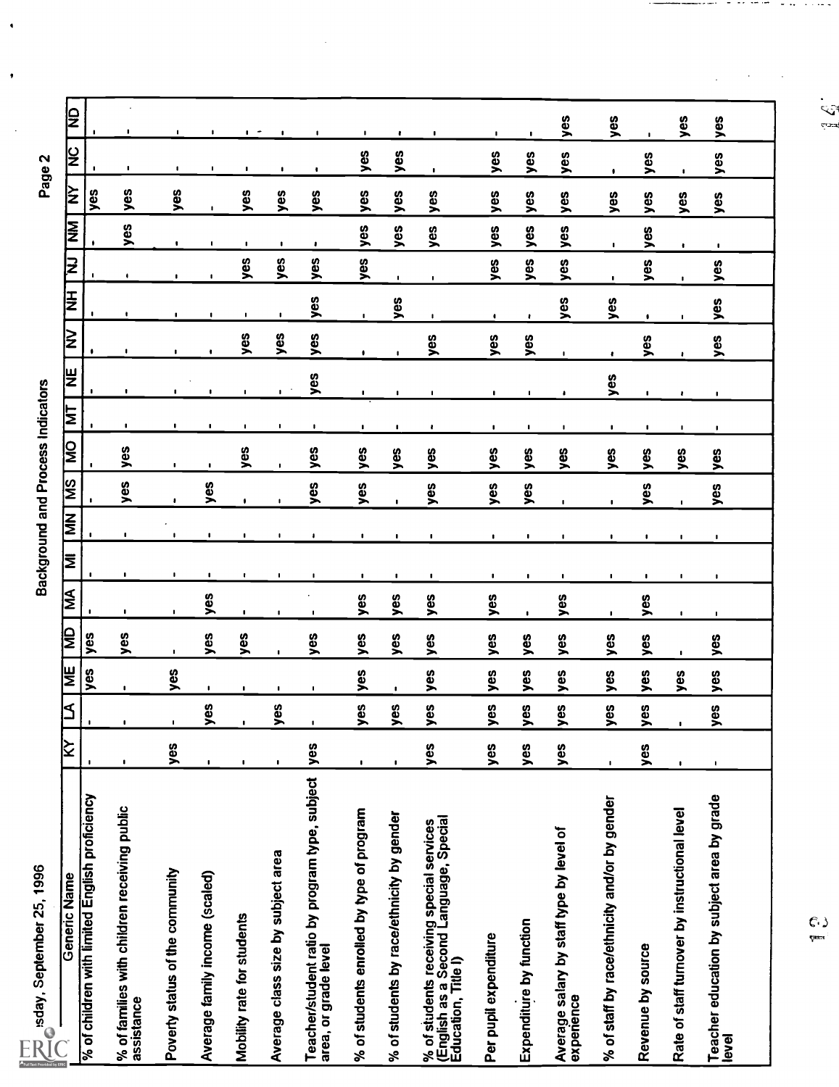|                                                | JΩ                      |                                                |                                                            |                                 |                                |                               |                                    |                                                                        |                                           |                                           |                                                                                                           |                       |                            |                                                        |                                               |                   |                                               |                                                     |
|------------------------------------------------|-------------------------|------------------------------------------------|------------------------------------------------------------|---------------------------------|--------------------------------|-------------------------------|------------------------------------|------------------------------------------------------------------------|-------------------------------------------|-------------------------------------------|-----------------------------------------------------------------------------------------------------------|-----------------------|----------------------------|--------------------------------------------------------|-----------------------------------------------|-------------------|-----------------------------------------------|-----------------------------------------------------|
|                                                |                         |                                                | $\blacksquare$                                             | ٠                               | $\mathbf{I}$                   | $\overline{\phantom{a}}$<br>٠ | ٠                                  | ٠                                                                      | ٠                                         | $\bullet$                                 | ٠                                                                                                         | $\mathbf{I}$          | $\mathbf{I}$               | yes                                                    | yes                                           |                   | yes                                           | yes                                                 |
| Page 2                                         | ž                       |                                                | ٠                                                          | $\blacksquare$                  | $\blacksquare$                 | $\blacksquare$                |                                    |                                                                        | yes                                       | yes                                       | $\blacksquare$                                                                                            | yes                   | yes                        | yes                                                    | ٠                                             | yes               | ٠                                             | yes                                                 |
|                                                | ķλ                      | yes                                            | yes                                                        | yes                             | $\mathbf{I}$                   | yes                           | yes                                | yes                                                                    | yes                                       | yes                                       | yes                                                                                                       | yes                   | yes                        | yes                                                    | yes                                           | yes               | yes                                           | yes                                                 |
|                                                | Į<br>≷                  |                                                | yes                                                        | ۰                               |                                | ٠                             | $\mathbf{I}$                       | ۰                                                                      | yes                                       | yes                                       | yes                                                                                                       | yes                   | yes                        | yes                                                    | $\pmb{\mathsf{I}}$                            | yes               | $\pmb{\ast}$                                  | ٠                                                   |
|                                                | ξ                       |                                                | $\bullet$                                                  |                                 |                                | yes                           | yes                                | yes                                                                    | yes                                       | $\mathbf{I}$                              | ٠                                                                                                         | yes                   | yes                        | yes                                                    | ٠                                             | yes               | ٠                                             | yes                                                 |
|                                                | E                       |                                                | ٠                                                          | ٠                               | $\mathbf{I}$                   | $\mathbf{I}$                  | $\cdot$                            | yes                                                                    | $\blacksquare$                            | yes                                       | $\sqrt{2}$                                                                                                | ٠                     | ł                          | yes                                                    | yes                                           | ٠                 | $\blacksquare$                                | yes                                                 |
|                                                | $\geq$                  |                                                | $\blacksquare$                                             |                                 |                                | yes                           | yes                                | yes                                                                    |                                           |                                           | yes                                                                                                       | yes                   | yes                        |                                                        |                                               | yes               |                                               | yes                                                 |
|                                                | lar                     |                                                |                                                            |                                 |                                |                               |                                    | yes                                                                    |                                           |                                           |                                                                                                           |                       |                            | ٠                                                      | ŧ<br>yes                                      |                   | t.                                            |                                                     |
| Background and Process Indicators              | Ξ                       |                                                |                                                            |                                 |                                | ٠                             | ٠                                  |                                                                        | $\mathbf{I}$                              | ,                                         |                                                                                                           | ٠                     |                            |                                                        |                                               | 1                 | ٠                                             | ٠                                                   |
|                                                | $\overline{\mathsf{S}}$ |                                                | ٠                                                          | ٠                               |                                | ,                             | ٠                                  | л,                                                                     | ٠                                         | ٠                                         |                                                                                                           | ٠                     | ٠                          | $\mathbf{I}$                                           | ٠                                             |                   | $\mathbf{I}$                                  | $\blacksquare$                                      |
|                                                |                         | $\blacksquare$                                 | yes                                                        | $\blacksquare$                  | $\mathbf{I}$                   | yes                           | $\blacksquare$                     | yes                                                                    | yes                                       | yes                                       | yes                                                                                                       | yes                   | yes                        | yes                                                    | yes                                           | yes               | yes                                           | yes                                                 |
|                                                | SM                      |                                                | yes                                                        | $\pmb{\ast}$                    | yes                            | $\bullet$                     | ٠                                  | yes                                                                    | yes                                       | $\blacksquare$                            | yes                                                                                                       | yes                   | yes                        | $\mathbf{I}$                                           | $\mathbf{r}$                                  | yes               | $\blacksquare$                                | yes                                                 |
|                                                | NN                      |                                                | $\blacksquare$                                             |                                 |                                |                               | 0                                  | ٠                                                                      | ٠                                         | $\blacksquare$                            | ٠                                                                                                         | $\blacksquare$        | $\blacksquare$             |                                                        |                                               |                   |                                               | ٠                                                   |
|                                                | İΣ                      |                                                | ٠                                                          | ٠                               | ٠                              |                               | ٠                                  | ٠                                                                      | ٠                                         | $\blacksquare$                            | ٠                                                                                                         | J.                    | ٠                          | ٠                                                      | ٠                                             | $\cdot$           | ٠                                             | $\cdot$                                             |
|                                                | ∣≨                      |                                                | ٠                                                          | ٠                               | yes                            | ٠                             | <b>I</b>                           | ٠                                                                      | yes                                       | yes                                       | yes                                                                                                       | yes                   | $\blacksquare$             | yes                                                    | $\blacksquare$                                | yes               | $\blacksquare$                                | $\blacksquare$                                      |
|                                                | β                       | yes                                            | yes                                                        | $\blacksquare$                  | yes                            | yes                           | $\blacksquare$                     | yes                                                                    | yes                                       | yes                                       | yes                                                                                                       | yes                   | yes                        | yes                                                    | yes                                           | yes               | $\mathbf{I}$                                  | yes                                                 |
|                                                | ⊯                       | yes                                            | $\blacksquare$                                             | yes                             | $\mathbf{I}$                   | ٠                             | $\blacksquare$                     | ٠                                                                      | yes                                       | $\blacksquare$                            | yes                                                                                                       | yes                   | yes                        | yes                                                    | yes                                           | yes               | yes                                           | yes                                                 |
|                                                | $\blacktriangleleft$    | ٠                                              | $\blacksquare$                                             | ٠                               | ပ္မ<br>➤                       | $\blacksquare$                | \$<br>➤                            | $\blacksquare$                                                         | စ္ယ<br>➤                                  | 8<br>➤                                    | ဖို့<br>⋋                                                                                                 | ပ္မ<br>➤              | ပ္စ<br>$\bar{\phantom{a}}$ | စ္မ<br>⋝                                               | 8<br>⋝                                        | yes               | $\blacksquare$                                | δĝ<br>➤                                             |
|                                                | ∣≩                      |                                                | $\mathbf{I}$                                               | yes                             | $\mathbf{I}$                   | $\mathbf{I}$                  | $\blacksquare$                     | yes                                                                    | ٠                                         |                                           | yes                                                                                                       | yes                   | yes                        | yes                                                    | $\blacksquare$                                | yes               | $\mathbf{I}$                                  | ,                                                   |
| sday, September 25, 1996<br>$\frac{1}{1}$<br>R | Generic Name            | % of children with limited English proficiency | % of families with children receiving public<br>assistance | Poverty status of the community | Average family income (scaled) | Mobility rate for students    | Average class size by subject area | Teacher/student ratio by program type, subject<br>area, or grade level | % of students enrolled by type of program | % of students by race/ethnicity by gender | % of students receiving special services<br>(English as a Second Language, Special<br>Education, Title I) | Per pupil expenditure | Expenditure by function    | Average salary by staff type by level of<br>experience | % of staff by race/ethnicity and/or by gender | Revenue by source | Rate of staff turnover by instructional level | Teacher education by subject area by grade<br>level |

ina.<br>T

 $rac{C_1}{2}$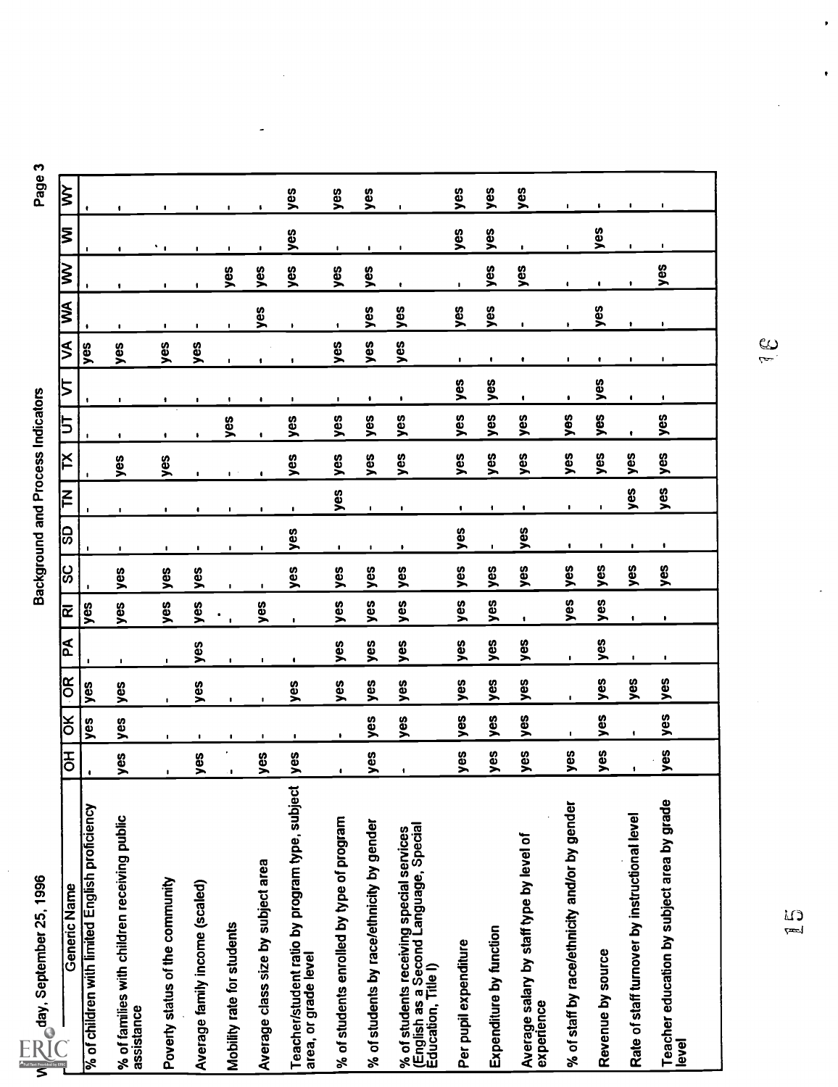| ķλ                                                                |                                                |                                                           |                                 | ٠                              | ٠                          | ٠                                  | yes                                                                    | yes                                       | yes                                       |                                                                                                           | yes                   | yes                     | yes                                                    | $\blacksquare$                                | ٠                 | ٠                                             | ٠                                                   |
|-------------------------------------------------------------------|------------------------------------------------|-----------------------------------------------------------|---------------------------------|--------------------------------|----------------------------|------------------------------------|------------------------------------------------------------------------|-------------------------------------------|-------------------------------------------|-----------------------------------------------------------------------------------------------------------|-----------------------|-------------------------|--------------------------------------------------------|-----------------------------------------------|-------------------|-----------------------------------------------|-----------------------------------------------------|
| Σ                                                                 |                                                |                                                           | ٠.                              |                                | ٠                          |                                    | yes                                                                    | $\mathbf{I}$                              | $\blacksquare$                            | ٠                                                                                                         | yes                   | yes                     | $\blacksquare$                                         | $\blacksquare$                                | yes               | $\blacksquare$                                | $\mathbf{I}$                                        |
| $\geqslant$                                                       |                                                | ٠                                                         | $\blacksquare$                  | ٠                              | yes                        | yes                                | yes                                                                    | yes                                       | yes                                       |                                                                                                           |                       | yes                     | yes                                                    | $\bullet$                                     | $\bullet$         |                                               | šex                                                 |
| ⋚                                                                 |                                                |                                                           |                                 |                                |                            | yes                                |                                                                        |                                           | yes                                       | yes                                                                                                       | yes                   | yes                     |                                                        |                                               | yes               |                                               |                                                     |
| ≶                                                                 | yes                                            | yes                                                       | ٠<br>yes                        | ٠<br>yes                       |                            |                                    |                                                                        | yes                                       | yes                                       | yes                                                                                                       | ٠                     | ٠                       | $\blacksquare$                                         | ٠<br>ı                                        | ٠                 |                                               | ٠                                                   |
|                                                                   |                                                |                                                           |                                 |                                |                            | 1                                  |                                                                        |                                           |                                           |                                                                                                           | yes                   | yes                     |                                                        |                                               | yes               |                                               |                                                     |
| 5                                                                 |                                                | $\blacksquare$                                            | ٠                               |                                | yes                        | ٠                                  | ٠<br>yes                                                               | ٠<br>yes                                  | ٠<br>yes                                  | ٠<br>yes                                                                                                  | šəv                   | yes                     | ٠<br>yes                                               | ٠<br>yes                                      | yes               |                                               | ٠<br>yes                                            |
| ř                                                                 |                                                | ٠<br>yes                                                  | ٠<br>yes                        |                                |                            |                                    | yes                                                                    | yes                                       | yes                                       | yes                                                                                                       | yes                   | yes                     | yes                                                    | yes                                           | yes               | yes                                           | yes                                                 |
| $\Xi$                                                             |                                                |                                                           |                                 | $\pmb{\cdot}$                  | ٠                          |                                    |                                                                        | yes                                       |                                           |                                                                                                           |                       |                         |                                                        |                                               |                   | yes                                           | yes                                                 |
| <b>GS</b>                                                         |                                                | ٠                                                         | ٠                               | ٠                              | ٠                          |                                    | $\blacksquare$<br>yes                                                  |                                           | $\blacksquare$                            | ٠                                                                                                         | ٠<br>yes              |                         | ٠<br>yes                                               | $\blacksquare$                                |                   |                                               |                                                     |
| ပ္ဟ                                                               |                                                | yes                                                       | ٠<br>yes                        | ٠<br>yes                       | ٠                          |                                    | yes                                                                    | ٠<br>yes                                  | $\blacksquare$<br>yes                     | ٠<br>yes                                                                                                  | ğ                     | ٠<br>yes                | yes                                                    | ٠<br>yes                                      | ٠<br>yes          | $\blacksquare$<br>yes                         | ٠<br>yes                                            |
| ଢ                                                                 | yes                                            | yes                                                       | yes                             | yes                            |                            | yes                                |                                                                        | yes                                       | yes                                       | yes                                                                                                       | yes                   | $y$ es                  |                                                        | yes                                           | yes               |                                               |                                                     |
| ١£                                                                |                                                |                                                           |                                 |                                | $\blacksquare$             |                                    | $\blacksquare$                                                         |                                           |                                           |                                                                                                           |                       |                         | ٠                                                      |                                               |                   | ۰                                             | ٠                                                   |
|                                                                   |                                                | $\blacksquare$                                            | $\blacksquare$                  | yes                            |                            | $\mathbf{I}$                       |                                                                        | yes                                       | yes                                       | yes                                                                                                       | yes                   | yes                     | yes                                                    | $\blacksquare$                                | yes               | $\blacksquare$                                | ٠                                                   |
| <b>OR</b>                                                         | yes                                            | yes                                                       | $\mathbf{L}$                    | yes                            | $\blacksquare$             | ٠                                  | yes                                                                    | yes                                       | yes                                       | yes                                                                                                       | yes                   | yes                     | yes                                                    | $\mathbf{I}$                                  | yes               | yes                                           | yes                                                 |
| δ                                                                 | yes                                            | yes                                                       |                                 | $\blacksquare$                 | $\blacksquare$             | ٠                                  | $\blacksquare$                                                         | ٠                                         | yes                                       | yes                                                                                                       | yes                   | yes                     | yes                                                    | ٠                                             | yes               |                                               | yes                                                 |
| 동                                                                 |                                                | yes                                                       | $\blacksquare$                  | yes                            | $\cdot$ 1                  | yes                                | yes                                                                    | ٠                                         | yes                                       | ٠                                                                                                         | yes                   | yes                     | yes                                                    | yes                                           | yes               |                                               | yes                                                 |
| $\sqrt{\sum_{\text{old}}$ day, September 25, 1996<br>Generic Name | % of children with limited English proficiency | % of familes with children receiving public<br>assistance | Poverty status of the community | Average family income (scaled) | Mobility rate for students | Average class size by subject area | Teacher/student ratio by program type, subject<br>area, or grade level | % of students enrolled by type of program | % of students by race/ethnicity by gender | % of students receiving special services<br>(English as a Second Language, Special<br>Education, Title I) | Per pupil expenditure | Expenditure by function | Average salary by staff type by level of<br>experience | % of staff by race/ethnicity and/or by gender | Revenue by source | Rate of staff turnover by instructional level | Teacher education by subject area by grade<br>level |

J,

 $\frac{1}{3}$ 

 $\bullet$ 

 $\bullet$ 

 $\sum_{k=1}^{n}$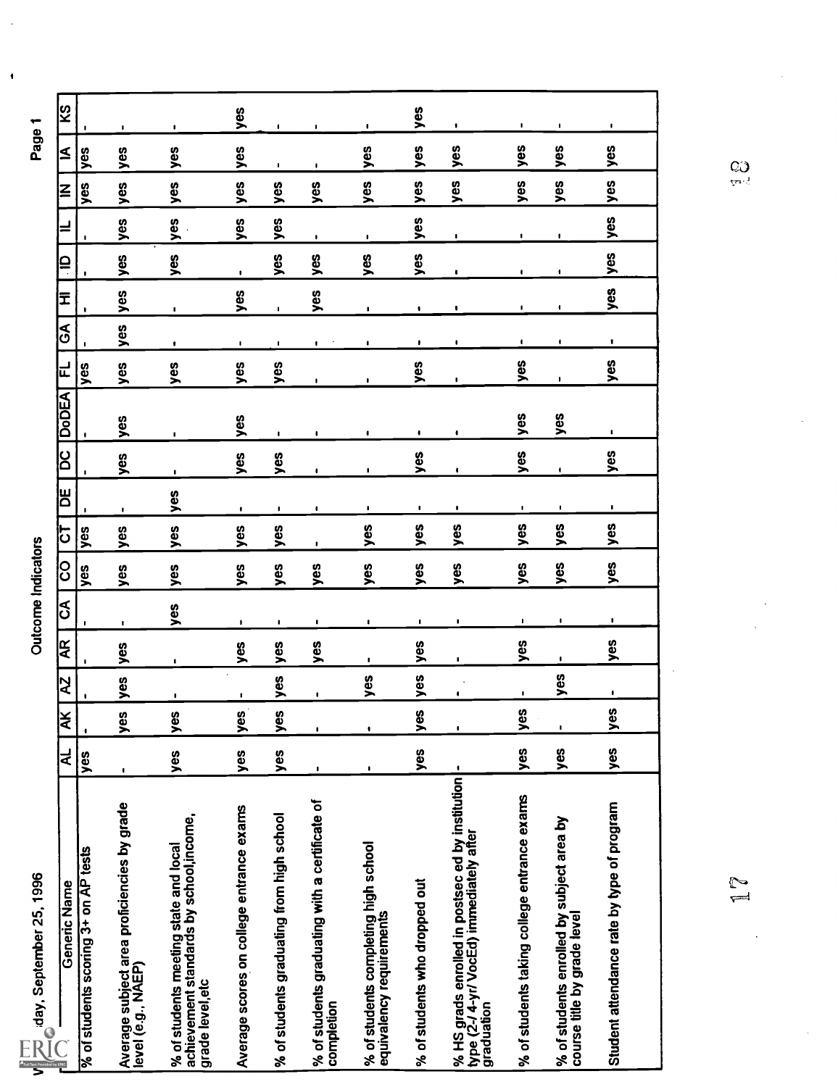| 88<br>0 |  |
|---------|--|
|         |  |
| ಸೆ      |  |
| Ž       |  |
| ē       |  |
| ے<br>ج  |  |
| Ē       |  |
|         |  |
|         |  |

 $\ddot{\phantom{0}}$ 

| $\blacksquare$                                                                                                                       |                |                                                           | $\blacksquare$                                           | yes                                                                                                                                                       | yes                                                                                                                                                       | $\blacksquare$ | yes            | $\blacksquare$                 | ဖိ<br>>            | yes          | Student attendance rate by type of program                                                                 |
|--------------------------------------------------------------------------------------------------------------------------------------|----------------|-----------------------------------------------------------|----------------------------------------------------------|-----------------------------------------------------------------------------------------------------------------------------------------------------------|-----------------------------------------------------------------------------------------------------------------------------------------------------------|----------------|----------------|--------------------------------|--------------------|--------------|------------------------------------------------------------------------------------------------------------|
| $\bullet$                                                                                                                            | ,              |                                                           |                                                          | yes                                                                                                                                                       | yes                                                                                                                                                       | ٠              |                | yes                            |                    | yes          | % of students enrolled by subject area by<br>course title by grade level                                   |
| $\blacksquare$                                                                                                                       |                |                                                           |                                                          | yes                                                                                                                                                       | yes                                                                                                                                                       | $\blacksquare$ | yes            | ٠                              | őδ<br>➤            | yes          | % of students taking college entrance exams                                                                |
| ٠                                                                                                                                    | $\blacksquare$ | $\bullet$                                                 |                                                          | yes                                                                                                                                                       | yes                                                                                                                                                       | $\blacksquare$ | $\mathbf{I}$   | $\blacksquare$                 | $\pmb{\mathsf{I}}$ |              | % HS grads enrolled in postsec ed by institution<br>type (2-/ 4-yr/ VocEd) immediately after<br>graduation |
| ٠                                                                                                                                    |                | $\bullet$                                                 |                                                          | yes                                                                                                                                                       | yes                                                                                                                                                       | $\blacksquare$ | yes            | yes                            | ပ္စ<br>≥           | yes          | % of students who dropped out                                                                              |
| $\mathbf{I}$                                                                                                                         | $\blacksquare$ | ٠                                                         |                                                          | yes                                                                                                                                                       | yes                                                                                                                                                       | $\blacksquare$ | $\bullet$      | yes                            | $\pmb{\mathsf{I}}$ |              | % of students completing high school<br>equivalency requirements                                           |
| $\bullet$                                                                                                                            | $\blacksquare$ | $\ddot{\phantom{a}}$                                      |                                                          |                                                                                                                                                           | yes                                                                                                                                                       | $\blacksquare$ | yes            | $\blacksquare$                 | ٠                  |              | % of students graduating with a certificate of<br>completion                                               |
| $\blacksquare$                                                                                                                       |                | $\bullet$                                                 |                                                          | yes                                                                                                                                                       | yes                                                                                                                                                       | $\blacksquare$ | yes            | lyes                           | 8<br><u> &gt;</u>  | yes          | % of students graduating from high school                                                                  |
| ٠                                                                                                                                    |                |                                                           |                                                          | yes                                                                                                                                                       | yes                                                                                                                                                       | $\pmb{\ast}$   | yes            | $\blacksquare$                 | yes                | yes          | Average scores on college entrance exams                                                                   |
| ۰                                                                                                                                    |                | $\blacksquare$                                            |                                                          | yes                                                                                                                                                       | yes                                                                                                                                                       | yes            | $\blacksquare$ | ٠                              | ပ္စ<br>⋝           | yes          | % of students meeting state and local<br>achievement standards by school,income,<br>grade level, etc       |
| yes                                                                                                                                  |                |                                                           |                                                          | yes                                                                                                                                                       | yes                                                                                                                                                       | $\blacksquare$ | yes            | yes                            | yes                | $\mathbf{I}$ | Average subject area proficiencies by grade<br>level (e.g., NAEP)                                          |
|                                                                                                                                      |                |                                                           |                                                          | yes                                                                                                                                                       | yes                                                                                                                                                       |                |                |                                | $\bullet$          | yes          | % of students scoring 3+ on AP tests<br>Generic Name                                                       |
|                                                                                                                                      |                |                                                           |                                                          |                                                                                                                                                           |                                                                                                                                                           |                |                |                                |                    |              | iday, September 25, 1996<br>$\frac{1}{\sqrt{2}}$                                                           |
|                                                                                                                                      |                |                                                           |                                                          |                                                                                                                                                           |                                                                                                                                                           |                |                |                                |                    |              |                                                                                                            |
| yes<br>yes<br>yes<br>yes<br>$\blacksquare$<br>$\blacksquare$<br>$\bullet$<br>٠<br>$\blacksquare$<br>$\blacksquare$<br>$\blacksquare$ | SA             | yes<br>yes<br>yes<br>yes<br>yes<br>yes<br>닏<br>yes<br>yes | <b>DODEA</b><br>yes<br>yes<br>yes<br>yes<br>$\mathbf{I}$ | OC)<br>yes<br>yes<br>yes<br>yes<br>yes<br>yes<br>$\bullet$<br>$\pmb{\mathsf{I}}$<br>$\blacksquare$<br>$\ddot{\phantom{0}}$<br>$\blacksquare$<br><u>ျမ</u> | yes<br>$\blacksquare$<br>$\blacksquare$<br>$\blacksquare$<br>$\blacksquare$<br>$\bullet$<br>$\bullet$<br>$\bullet$<br>$\blacksquare$<br>$\mathbf{I}$<br>5 | ပြ             | ιá             | <b>Outcome Indicators</b><br>Æ | R                  | l¥           | $\overline{\mathbf{z}}$                                                                                    |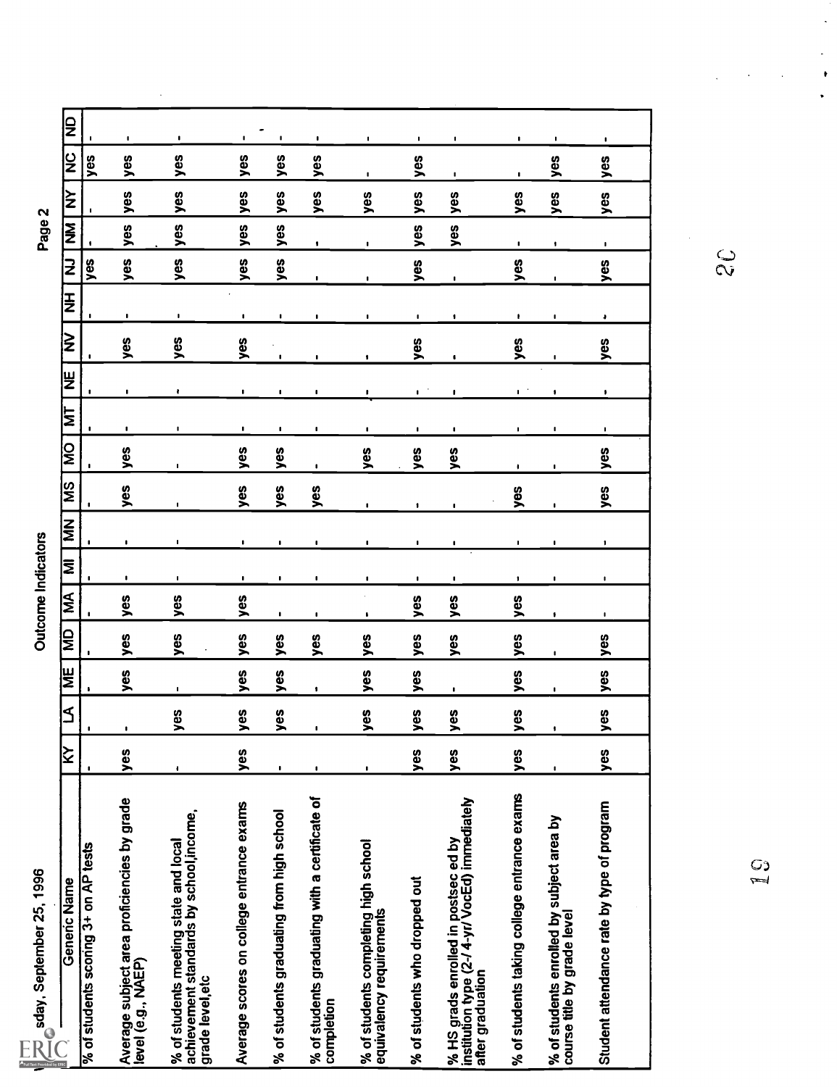| sday, September 25, 1996<br>⊃ر©                                                                            |                |                         |                    |     | <b>Dutcome Indicators</b> |                |                |                    |                |                |                    |                |                |                | Page 2         |     |                |                |
|------------------------------------------------------------------------------------------------------------|----------------|-------------------------|--------------------|-----|---------------------------|----------------|----------------|--------------------|----------------|----------------|--------------------|----------------|----------------|----------------|----------------|-----|----------------|----------------|
| Generic Name                                                                                               | ∣≿             | $\overline{\mathsf{z}}$ | W                  | l€  | $\overline{\mathbf{M}}$   | ΙΜ             | NN             | $\frac{2}{3}$      | i<br>IΣ        | E              | )⊌                 | β              | E              | 2              | Į              | ΙŠ  | <b>SN</b>      | J₽             |
| % of students scoring 3+ on AP tests                                                                       |                |                         |                    |     |                           |                |                |                    |                |                | $\blacksquare$     | $\blacksquare$ |                | yes            |                |     | yes            |                |
| Average subject area proficiencies by grade<br>level (e.g., NAEP)                                          | yes            | $\mathbf{I}$            | yes                | yes | yes                       | $\cdot$        | $\blacksquare$ | yes                | yes            | $\mathbf{I}$   | $\blacksquare$     | yes            | $\blacksquare$ | yes            | yes            | yes | yes            | $\mathbf{L}$   |
| % of students meeting state and local<br>achievement standards by school,income,<br>grade level, etc       | $\bullet$      | 89<br>➤                 | $\blacksquare$     | yes | yes                       | $\blacksquare$ | $\blacksquare$ | $\blacksquare$     | $\blacksquare$ | $\blacksquare$ | $\bullet$          | yes            | $\blacksquare$ | yes            | yes            | yes | yes            | $\blacksquare$ |
| Average scores on college entrance exams                                                                   | yes            | es<br>>                 | yes                | yes | yes                       | $\blacksquare$ | $\blacksquare$ | yes                | yes            | $\cdot$        | $\blacksquare$     | yes            | $\blacksquare$ | yes            | yes            | yes | yes            | $\blacksquare$ |
| % of students graduating from high school                                                                  | $\bullet$      | ဖိ                      | yes                | yes | $\blacksquare$            | $\mathbf{I}$   | $\mathbf{I}$   | yes                | yes            | $\mathbf{I}$   | $\mathbf{I}$       | $\blacksquare$ | $\mathbf{I}$   | yes            | yes            | yes | yes            | $\mathbf{I}$   |
| % of students graduating with a certificate of<br>completion                                               | $\blacksquare$ |                         | $\pmb{\mathsf{I}}$ | yes | $\blacksquare$            | ٠              | $\blacksquare$ | yes                | $\blacksquare$ |                | $\mathbf{I}$       | $\mathbf{I}$   | $\mathbf{I}$   | $\blacksquare$ | $\blacksquare$ | yes | yes            | $\blacksquare$ |
| % of students completing high school<br>equivalency requirements                                           |                | 6S                      | yes                | yes | ۰.                        | ٠              | $\blacksquare$ | $\blacksquare$     | yes            | ٠              |                    | ٠              | $\blacksquare$ |                | $\blacksquare$ | yes | $\blacksquare$ | $\blacksquare$ |
| % of students who dropped out                                                                              | yes            | စ္မ<br>>                | yes                | yes | yes                       |                | $\blacksquare$ | $\pmb{\mathsf{1}}$ | yes            | $\blacksquare$ | $\blacksquare$     | yes            | $\blacksquare$ | yes            | yes            | yes | yes            | $\blacksquare$ |
| % HS grads enrolled in postsec ed by<br>institution type (2-/ 4-yr/ VocEd) immediately<br>after graduation | yes            | ဖို့<br>➤               | $\blacksquare$     | yes | yes                       | ٠              | ٠              | $\blacksquare$     | yes            | $\blacksquare$ | л.                 | $\bullet$      | ٠              | $\blacksquare$ | yes            | yes | $\blacksquare$ | $\blacksquare$ |
| % of students taking college entrance exams                                                                | yes            | စ္မ<br>➤                | yes                | yes | yes                       | $\mathbf{I}$   | $\blacksquare$ | yes                | ۰              | ٠              | $\mathbf{L}^{(n)}$ | yes            | ٠.             | yes            | $\blacksquare$ | yes | $\blacksquare$ | $\blacksquare$ |
| % of students enrolled by subject area by<br>course title by grade level                                   |                |                         | $\blacksquare$     |     | $\bullet$                 | ٠              | $\blacksquare$ | $\blacksquare$     | ٠              |                | $\bullet$          |                | ٠              | $\mathbf{I}$   | $\blacksquare$ | yes | yes            | $\blacksquare$ |
| Student attendance rate by type of program                                                                 | yes            | őρ<br>$\geq$            | yes                | yes | $\blacksquare$            | ٠              | $\bullet$      | yes                | yes            | $\blacksquare$ | ٠                  | yes            | ٠              | yes            | $\blacksquare$ | yes | yes            | $\blacksquare$ |
|                                                                                                            |                |                         |                    |     |                           |                |                |                    |                |                |                    |                |                | ွ<br>၃         |                |     |                |                |
| $\frac{0}{1}$                                                                                              |                |                         |                    |     |                           |                |                |                    |                |                |                    |                |                |                |                |     |                |                |
|                                                                                                            |                |                         |                    |     |                           |                |                |                    |                |                |                    |                |                |                |                |     |                |                |
|                                                                                                            |                |                         |                    |     |                           |                |                |                    |                |                |                    |                |                |                |                |     |                |                |

 $\frac{1}{2}$ 

 $\ddot{\phantom{a}}$ 

 $\bullet$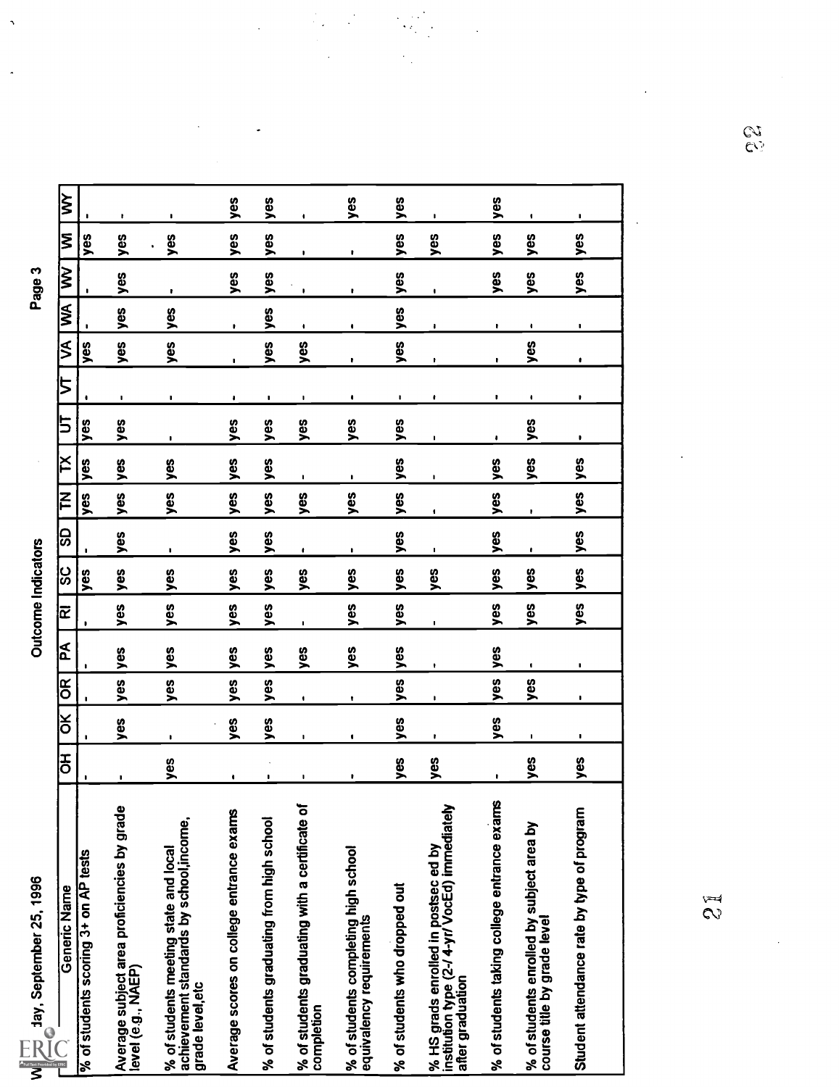| 1996                 |  |
|----------------------|--|
| ని                   |  |
| ed<br>N              |  |
| ¢<br>้าๆกั           |  |
|                      |  |
| $\tilde{\mathbf{e}}$ |  |
|                      |  |

 $\ddot{\phantom{1}}$ 

| W $\overline{\mathcal{P}}$ day, September 25, 1996                                                         |        |                |     |     | <b>Outcome Indicators</b> |     |                |              |                |              |                |     |               | Page 3       |     |     |
|------------------------------------------------------------------------------------------------------------|--------|----------------|-----|-----|---------------------------|-----|----------------|--------------|----------------|--------------|----------------|-----|---------------|--------------|-----|-----|
| Generic Name                                                                                               | 공<br>이 | ă              | õŔ  | Ã   | Œ                         | ပ္တ | င္တ            | $\mathsf{K}$ | ř              | 5            | 5              | ⋚   | S             | $\gtrapprox$ | ξ   | ξ   |
| % of students scoring 3+ on AP tests                                                                       |        | $\mathbf{I}$   |     |     |                           | yes |                | yes          | yes            | yes          |                | yes |               |              | yes |     |
| Average subject area proficiencies by grade<br>level (e.g., NAEP)                                          |        | yes            | yes | yes | yes                       | yes | yes            | yes          | yes            | yes          | ٠              | yes | yes           | yes          | yes | ۰   |
| achievement standards by school, income,<br>% of students meeting state and local<br>grade level, etc      | yes    | $\blacksquare$ | yes | yes | yes                       | yes | ,              | yes          | yes            | $\mathbf{I}$ | $\blacksquare$ | yes | yes           | ٠            | yes | п   |
| Average scores on college entrance exams                                                                   | ٠      | yes            | yes | yes | yes                       | yes | yes            | yes          | yes            | yes          | ٠              | I.  |               | yes          | yes | yes |
| % of students graduating from high school                                                                  | ٠      | yes            | yes | yes | yes                       | yes | yes            | yes          | yes            | yes          | ٠              | yes | yes           | yes          | yes | yes |
| % of students graduating with a certificate o<br>completion                                                |        |                | ٠   | yes | $\blacksquare$            | yes | ٠              | yes          | $\blacksquare$ | yes          |                | yes |               |              |     |     |
| % of students completing high school<br>equivalency requirements                                           | ٠      | ٠              | ٠   | yes | yes                       | yes | $\blacksquare$ | yes          | f,             | yes          | ٠              | r   | ٠             | ٠            | ٠   | yes |
| % of students who dropped out                                                                              | yes    | yes            | yes | yes | yes                       | yes | yes            | yes          | yes            | yes          |                | yes | yes           | yes          | yes | yes |
| % HS grads enrolled in postsec ed by<br>institution type (2-/ 4-yr/ VocEd) immediately<br>after graduation | yes    | ,              | ,   | ٠   | ٠                         | yes | 1              |              | ٠              | $\mathbf{I}$ | ٠              | ٠   |               | ٠            | yes | ٠   |
| % of students taking college entrance exams                                                                | P.     | yes            | yes | yes | yes                       | yes | yes            | yes          | yes            | ٠            |                | F.  | $\pmb{\cdot}$ | yes          | yes | yes |
| % of students enrolled by subject area by<br>course title by grade level                                   | yes    | ٠              | yes |     | yes                       | yes |                | ł            | yes            | yes          | ٠              | yes | ٠             | yes          | yes | ٠   |
| Student attendance rate by type of program                                                                 | yes    |                |     | ٠   | yes                       | yes | yes            | yes          | yes            | ٠            | ٠              |     | ٠             | yes          | yes | ٠   |
|                                                                                                            |        |                |     |     |                           |     |                |              |                |              |                |     |               |              |     |     |

 $\ddot{\cdot}$ 

l,

 $\mathcal{L}_{\mathcal{L}}$ 

 $\tilde{z}$ 

e,<br>C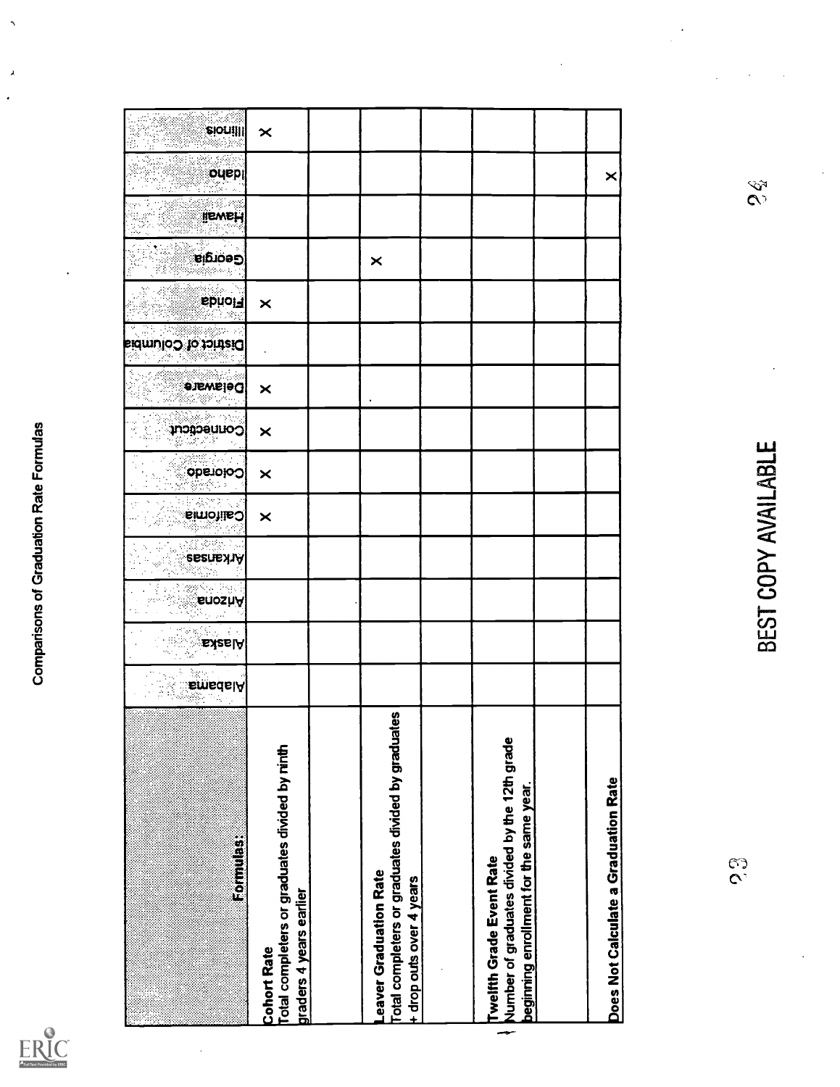

| Formulas:                                                                                                                   | <b>EmsdalA</b> | Alask <mark>a</mark> | <b>EnoshA</b> | <b>Arkansas</b>     | <b>California</b> | Oolorado       | <b>Pornectedt</b> | <b>Delaware</b> | District of Columbia | i sbhol∃       | း<br>(၁၀၀) ခု | <b>HEWELL</b>               | ouep | <b>sionilli</b>       |
|-----------------------------------------------------------------------------------------------------------------------------|----------------|----------------------|---------------|---------------------|-------------------|----------------|-------------------|-----------------|----------------------|----------------|---------------|-----------------------------|------|-----------------------|
| Total completers or graduates divided by ninth<br>graders 4 years earlier<br><b>Cohort Rate</b>                             |                |                      |               |                     | $\pmb{\times}$    | $\pmb{\times}$ | $\pmb{\times}$    | $\pmb{\times}$  |                      | $\pmb{\times}$ |               |                             |      | $\boldsymbol{\times}$ |
| Total completers or graduates divided by graduates<br>eaver Graduation Rate<br>+ drop outs over 4 years                     |                |                      |               |                     |                   |                |                   |                 |                      |                | $\times$      |                             |      |                       |
|                                                                                                                             |                |                      |               |                     |                   |                |                   |                 |                      |                |               |                             |      |                       |
| Number of graduates divided by the 12th grade<br>beginning enrollment for the same year.<br><b>Twelfth Grade Event Rate</b> |                |                      |               |                     |                   |                |                   |                 |                      |                |               |                             |      |                       |
|                                                                                                                             |                |                      |               |                     |                   |                |                   |                 |                      |                |               |                             |      |                       |
| Does Not Calculate a Graduation Rate                                                                                        |                |                      |               |                     |                   |                |                   |                 |                      |                |               |                             | ×    |                       |
| c<br>C                                                                                                                      |                |                      |               | BEST COPY AVAILABLE |                   |                |                   |                 |                      |                |               | $\mathcal{S}_{\mathcal{S}}$ |      |                       |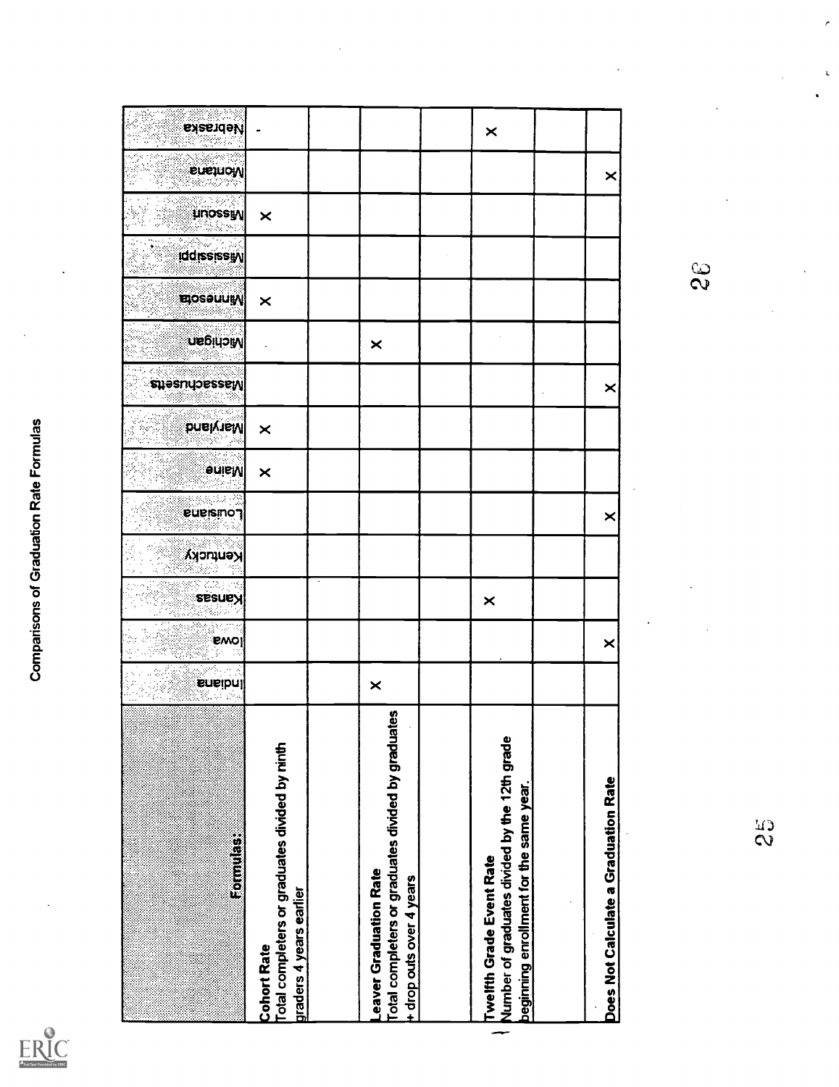| Full Text Provided by ERIC |
|----------------------------|

| Formulas:                                         | Total completers or graduates divided by ninth<br>graders 4 years earlier<br><b>Cohort Rate</b> | $\times$<br>Total completers or graduates divided by graduates<br>eaver Graduation Rate<br>+ drop outs over 4 years | Number of graduates divided by the 12th grade<br>beginning enrollment for the same year.<br><b>Twelfth Grade Event Rate</b> | ÷, | Does Not Calculate a Graduation Rate | $\frac{c}{2}$ |
|---------------------------------------------------|-------------------------------------------------------------------------------------------------|---------------------------------------------------------------------------------------------------------------------|-----------------------------------------------------------------------------------------------------------------------------|----|--------------------------------------|---------------|
| ಿ.<br>  emo                                       |                                                                                                 |                                                                                                                     |                                                                                                                             |    | $\times$                             |               |
|                                                   |                                                                                                 |                                                                                                                     | $\times$                                                                                                                    |    |                                      |               |
|                                                   |                                                                                                 |                                                                                                                     |                                                                                                                             |    |                                      |               |
| president<br><b>Euersmon</b>                      |                                                                                                 |                                                                                                                     |                                                                                                                             |    | ×                                    |               |
| <b>Sulley</b>                                     | $\times$                                                                                        |                                                                                                                     |                                                                                                                             |    |                                      |               |
| Maryland<br>Line                                  | $\times$                                                                                        |                                                                                                                     |                                                                                                                             |    | ×                                    |               |
| <b>UBBILIOW</b><br>$\sim$ and also denoted $\sim$ |                                                                                                 | $\pmb{\times}$                                                                                                      |                                                                                                                             |    |                                      |               |
| $\mathbb{E}$ independent                          | $\times$                                                                                        |                                                                                                                     |                                                                                                                             |    |                                      |               |
| <b>Iddississyy</b>                                |                                                                                                 |                                                                                                                     |                                                                                                                             |    |                                      | $\mathcal{S}$ |
| <b>Examples</b>                                   | $\pmb{\times}$                                                                                  |                                                                                                                     |                                                                                                                             |    |                                      |               |
| Eusinow                                           |                                                                                                 |                                                                                                                     |                                                                                                                             |    | $\times$                             |               |
| $\sim$ exercise $\sim$                            |                                                                                                 |                                                                                                                     | $\times$                                                                                                                    |    |                                      |               |

 $\epsilon$ 

 $\pmb{\zeta}$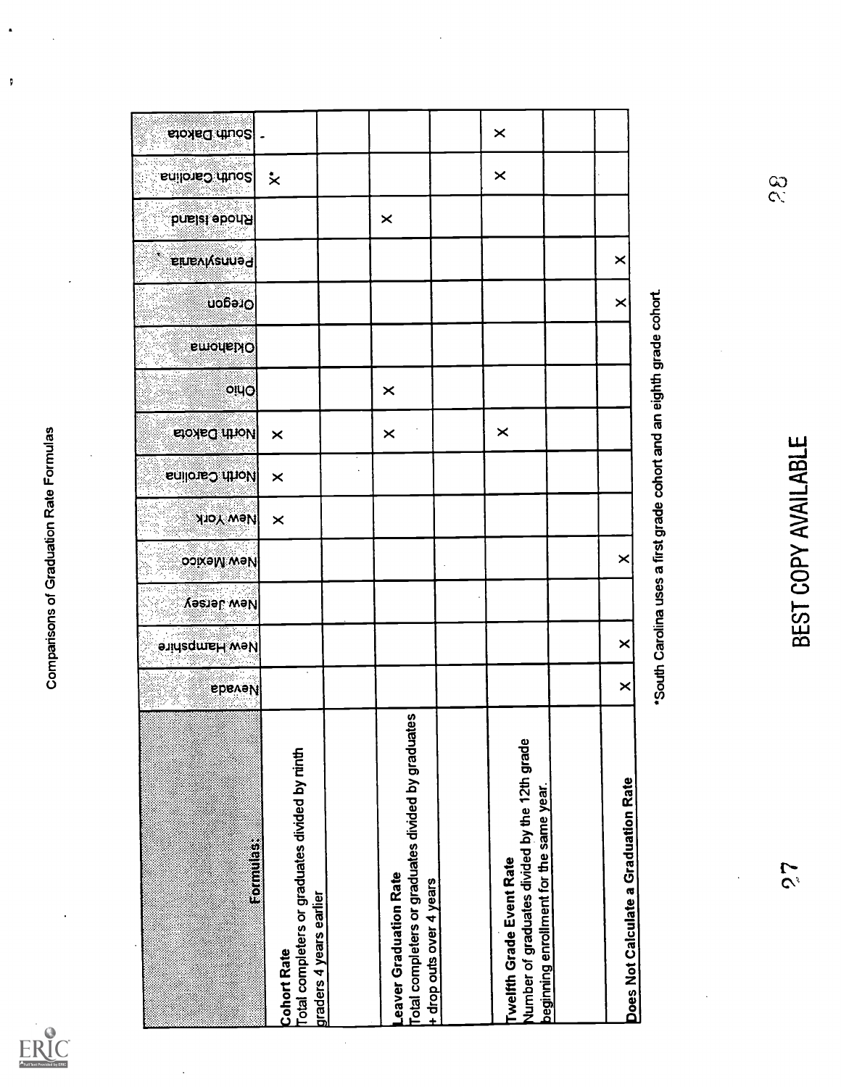

j,

 $\sqrt{2}$ 

| Į<br>S.                                                                                                                     | <b>Ebevel/</b> | New Hampshire                                                         | New Jersey          | New Mexico | <b>New York</b> | <b>Inorth Carolina</b> | <b>EXORED THION</b> | oluo     | <b>Smorth</b> | Oregon   | <b>Einevivenned</b> | <b>bnsiel sbon Ri</b> | south Carolina              | south Dakota |
|-----------------------------------------------------------------------------------------------------------------------------|----------------|-----------------------------------------------------------------------|---------------------|------------|-----------------|------------------------|---------------------|----------|---------------|----------|---------------------|-----------------------|-----------------------------|--------------|
| otal completers or graduates divided by ninth<br>Formulas:<br>raders 4 years earlier<br>Cohort Rate                         |                |                                                                       |                     |            | $\times$        | $\times$               | $\times$            |          |               |          |                     |                       | $\boldsymbol{\dot{\times}}$ |              |
|                                                                                                                             |                |                                                                       |                     |            |                 |                        |                     |          |               |          |                     |                       |                             |              |
| otal completers or graduates divided by graduates<br>eaver Graduation Rate<br>drop outs over 4 years                        |                |                                                                       |                     |            |                 |                        | $\pmb{\times}$      | $\times$ |               |          |                     | $\times$              |                             |              |
|                                                                                                                             |                |                                                                       |                     |            |                 |                        |                     |          |               |          |                     |                       |                             |              |
| Number of graduates divided by the 12th grade<br>beginning enrollment for the same year.<br><b>Twelfth Grade Event Rate</b> |                |                                                                       |                     |            |                 |                        | $\times$            |          |               |          |                     |                       | $\pmb{\times}$              | $\times$     |
|                                                                                                                             |                |                                                                       |                     |            |                 |                        |                     |          |               |          |                     |                       |                             |              |
| Does Not Calculate a Graduation Rate                                                                                        | ×              | $\times$                                                              |                     | $\times$   |                 |                        |                     |          |               | $\times$ | $\times$            |                       |                             |              |
| $\cdot$                                                                                                                     |                | *South Carolina uses a first grade cohort and an eighth grade cohort. |                     |            |                 |                        |                     |          |               |          |                     |                       |                             |              |
| $\tilde{\mathcal{S}}$                                                                                                       |                |                                                                       | BEST COPY AVAILABLE |            |                 |                        |                     |          |               |          |                     |                       | $\frac{8}{3}$               |              |

 $\bar{z}$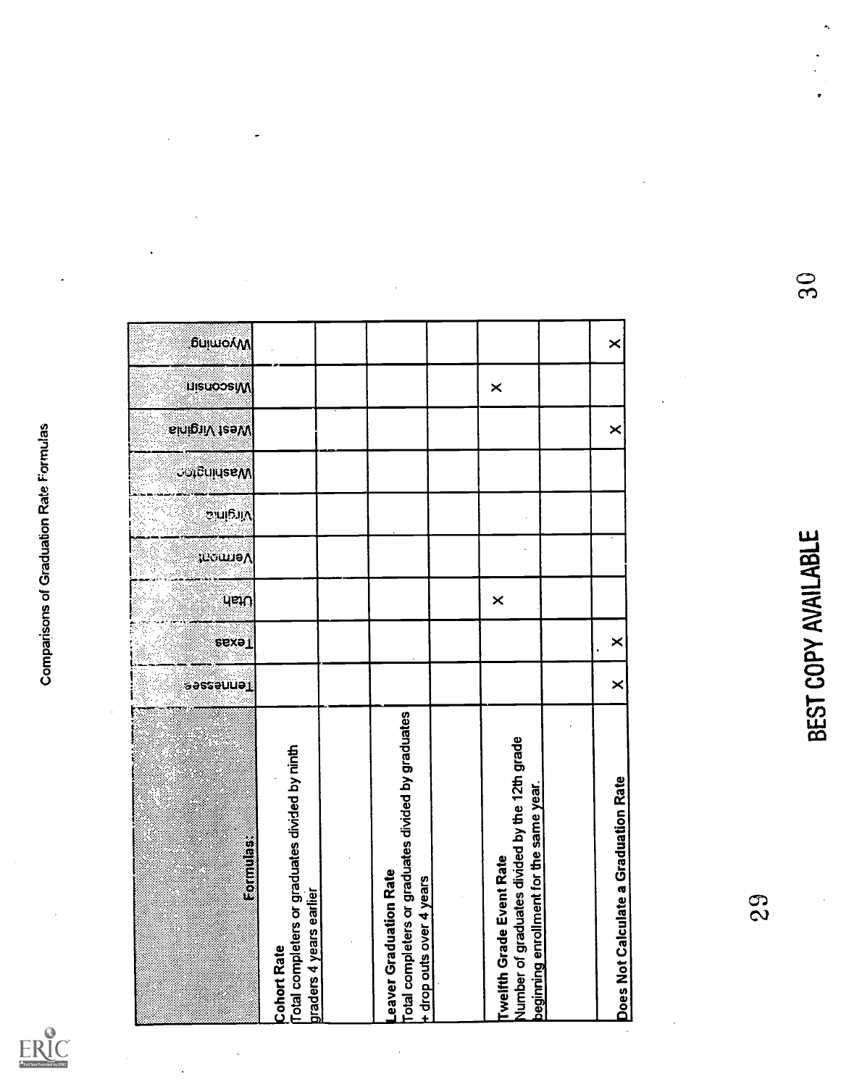

| <b>EQUIDE</b>                                                                                                        | Tenneses <sup>a</sup> | <b>PEXP</b>    | ueiu     | 'romaV | Virginic | <b>COLELIJUSEAN</b> | Nest Virgina | <b>LuisuoosiW</b> | <b>бикшолуу</b> |               |
|----------------------------------------------------------------------------------------------------------------------|-----------------------|----------------|----------|--------|----------|---------------------|--------------|-------------------|-----------------|---------------|
| Total completers or graduates divided by ninth<br>graders 4 years earlier<br><b>Cohort Rate</b>                      |                       |                |          |        |          |                     |              |                   |                 |               |
| eaver Graduation Rate                                                                                                |                       |                |          |        |          |                     |              |                   |                 |               |
| Total completers or graduates divided by graduates<br>+ drop outs over 4 years                                       |                       |                |          |        |          |                     |              |                   |                 |               |
| Number of graduates divided by the 12th grade<br>beginning enrollment for the same year.<br>Twelfth Grade Event Rate |                       |                | $\times$ |        |          |                     |              | $\pmb{\times}$    |                 |               |
|                                                                                                                      |                       |                |          |        |          |                     |              |                   |                 |               |
| Does Not Calculate a Graduation Rate                                                                                 | $\times$              | $\pmb{\times}$ |          |        |          |                     | $\times$     |                   | $\times$        |               |
| 29                                                                                                                   |                       |                |          |        |          |                     |              |                   |                 |               |
|                                                                                                                      | BEST COPY AVAILABLE   |                |          |        |          |                     |              |                   |                 | $\frac{6}{5}$ |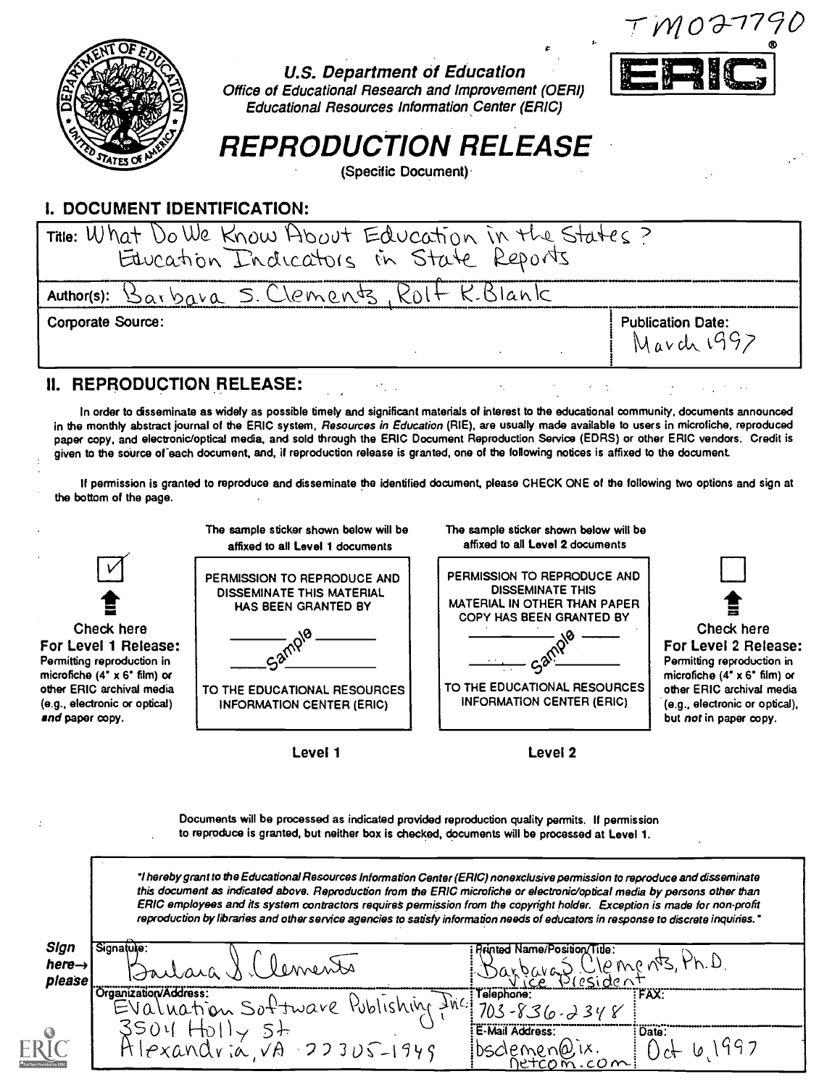$TMO$ a-1790



#### U.S. Department of Education Office of Educational Research and Improvement (OERI) Educational Resources Information Center (ERIC)



# REPRODUCTION RELEASE

(Specific Document)

## I. DOCUMENT IDENTIFICATION:

| Title: What Do We Know About Education in the States?<br>Education Indicators in State Reports |                                        |
|------------------------------------------------------------------------------------------------|----------------------------------------|
| Author(s): $\beta_{\alpha\beta}$ bara S. Clements, $R_0H + R_1B$ lank                          |                                        |
| <b>Corporate Source:</b>                                                                       | <b>Publication Date:</b><br>March 1997 |

# II. REPRODUCTION RELEASE:

In order to dsseminate as widely as possible timely and significant materials of interest to the educational community, documents announced in the monthly abstract journal of the ERIC system, *Resources in Education* (RIE), are usually made available to users in microfiche, reproduced paper copy, and electronic/optical media, and sold through the ERIC Document Reproduction Service (EDRS) or other ERIC vendors. Credit is given to the source of each document, and, if reproduction release is granted, one of the following notices is affixed to the document.

If permission is granted to reproduce and disseminate the identified document, please CHECK ONE of the following two options and sign at the bottom of the page.



Level 1

Level 2

Documents will be processed as indicated provided reproduction quality permits. If permission to reproduce is granted, but neither box is checked, documents will be processed at Level 1.

'thereby grant to the Educational Resources Information Center (ERIC) nonexclusive permission to reproduce and disseminate this document as indicated above. Reproduction from the ERIC microfiche or electronic/optical media by persons other than ERIC employees and its system contractors requires permission from the copyright holder. Exception is made for non-profit reproduction by libraries and other service agencies to satisfy information needs of educators in response to discrete inquiries.'

| Sign<br>here $\rightarrow$<br>please | Signatuke:<br>lements<br>300000000                                        | <b>Printed Name/Position/Title:</b><br>: Darbaras Lilements, Ph.D. |
|--------------------------------------|---------------------------------------------------------------------------|--------------------------------------------------------------------|
|                                      | Organization/Address:<br>EValuation Software Publishing fine 703-836.2348 | Telephone:<br>FAX:                                                 |
|                                      | 3504<br>$Hlexandvia,VA223US-1949$                                         | E-Mail Address:<br>: Date:<br>ibsdemen@ix. 0ct 6,1997              |